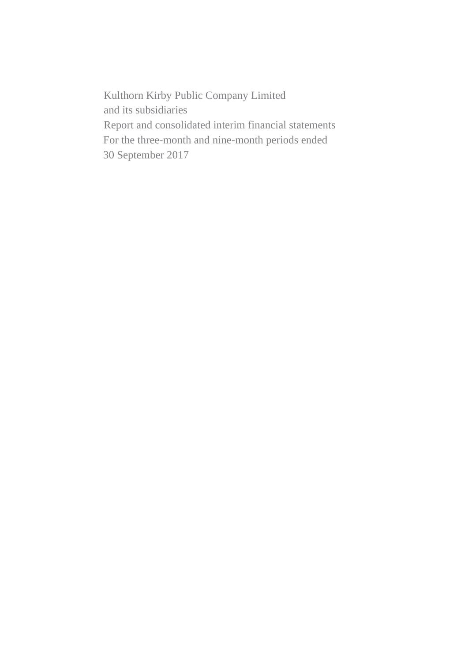Kulthorn Kirby Public Company Limited and its subsidiaries Report and consolidated interim financial statements For the three-month and nine-month periods ended 30 September 2017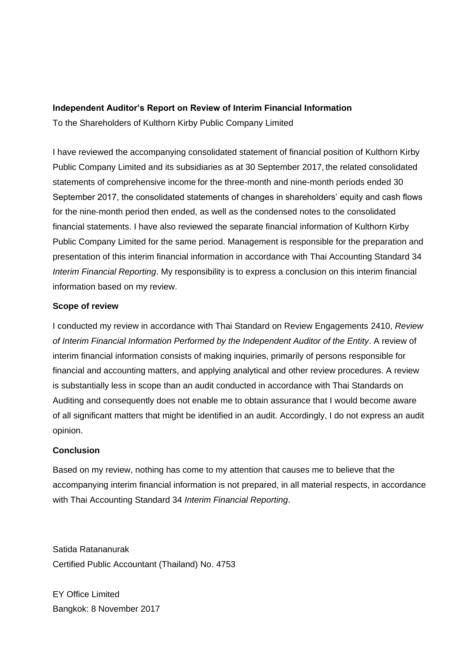# **Independent Auditor's Report on Review of Interim Financial Information**

To the Shareholders of Kulthorn Kirby Public Company Limited

I have reviewed the accompanying consolidated statement of financial position of Kulthorn Kirby Public Company Limited and its subsidiaries as at 30 September 2017, the related consolidated statements of comprehensive income for the three-month and nine-month periods ended 30 September 2017, the consolidated statements of changes in shareholders' equity and cash flows for the nine-month period then ended, as well as the condensed notes to the consolidated financial statements. I have also reviewed the separate financial information of Kulthorn Kirby Public Company Limited for the same period. Management is responsible for the preparation and presentation of this interim financial information in accordance with Thai Accounting Standard 34 *Interim Financial Reporting*. My responsibility is to express a conclusion on this interim financial information based on my review.

# **Scope of review**

I conducted my review in accordance with Thai Standard on Review Engagements 2410, *Review of Interim Financial Information Performed by the Independent Auditor of the Entity*. A review of interim financial information consists of making inquiries, primarily of persons responsible for financial and accounting matters, and applying analytical and other review procedures. A review is substantially less in scope than an audit conducted in accordance with Thai Standards on Auditing and consequently does not enable me to obtain assurance that I would become aware of all significant matters that might be identified in an audit. Accordingly, I do not express an audit opinion.

# **Conclusion**

Based on my review, nothing has come to my attention that causes me to believe that the accompanying interim financial information is not prepared, in all material respects, in accordance with Thai Accounting Standard 34 *Interim Financial Reporting*.

Satida Ratananurak Certified Public Accountant (Thailand) No. 4753

EY Office Limited Bangkok: 8 November 2017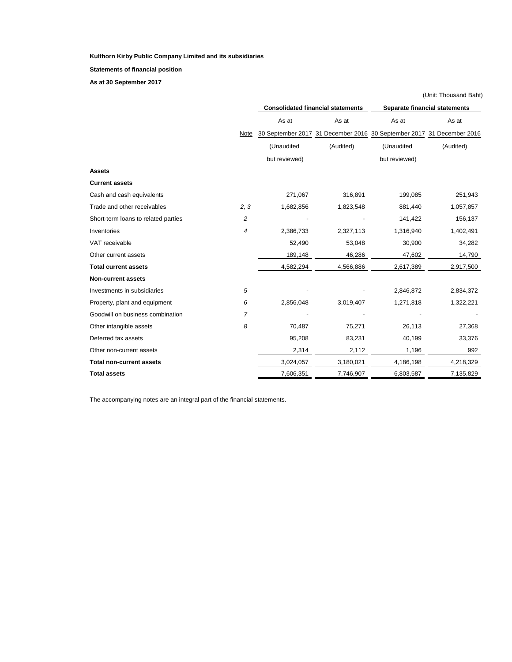**Statements of financial position**

**As at 30 September 2017**

|                                     |                | (Unit: Thousand Baht) |                                          |                                                                       |           |  |  |
|-------------------------------------|----------------|-----------------------|------------------------------------------|-----------------------------------------------------------------------|-----------|--|--|
|                                     |                |                       | <b>Consolidated financial statements</b> | <b>Separate financial statements</b>                                  |           |  |  |
|                                     |                | As at                 | As at                                    | As at                                                                 | As at     |  |  |
|                                     | Note           |                       |                                          | 30 September 2017 31 December 2016 30 September 2017 31 December 2016 |           |  |  |
|                                     |                | (Unaudited            | (Audited)                                | (Unaudited                                                            | (Audited) |  |  |
|                                     |                | but reviewed)         |                                          | but reviewed)                                                         |           |  |  |
| <b>Assets</b>                       |                |                       |                                          |                                                                       |           |  |  |
| <b>Current assets</b>               |                |                       |                                          |                                                                       |           |  |  |
| Cash and cash equivalents           |                | 271,067               | 316,891                                  | 199,085                                                               | 251,943   |  |  |
| Trade and other receivables         | 2, 3           | 1,682,856             | 1,823,548                                | 881,440                                                               | 1,057,857 |  |  |
| Short-term loans to related parties | $\overline{c}$ |                       |                                          | 141,422                                                               | 156,137   |  |  |
| Inventories                         | 4              | 2,386,733             | 2,327,113                                | 1,316,940                                                             | 1,402,491 |  |  |
| VAT receivable                      |                | 52,490                | 53,048                                   | 30,900                                                                | 34,282    |  |  |
| Other current assets                |                | 189,148               | 46,286                                   | 47,602                                                                | 14,790    |  |  |
| <b>Total current assets</b>         |                | 4,582,294             | 4,566,886                                | 2,617,389                                                             | 2,917,500 |  |  |
| <b>Non-current assets</b>           |                |                       |                                          |                                                                       |           |  |  |
| Investments in subsidiaries         | 5              |                       |                                          | 2,846,872                                                             | 2,834,372 |  |  |
| Property, plant and equipment       | 6              | 2,856,048             | 3,019,407                                | 1,271,818                                                             | 1,322,221 |  |  |
| Goodwill on business combination    | 7              |                       |                                          |                                                                       |           |  |  |
| Other intangible assets             | 8              | 70,487                | 75,271                                   | 26,113                                                                | 27,368    |  |  |
| Deferred tax assets                 |                | 95,208                | 83,231                                   | 40,199                                                                | 33,376    |  |  |
| Other non-current assets            |                | 2,314                 | 2,112                                    | 1,196                                                                 | 992       |  |  |
| <b>Total non-current assets</b>     |                | 3,024,057             | 3,180,021                                | 4,186,198                                                             | 4,218,329 |  |  |
| <b>Total assets</b>                 |                | 7,606,351             | 7,746,907                                | 6,803,587                                                             | 7,135,829 |  |  |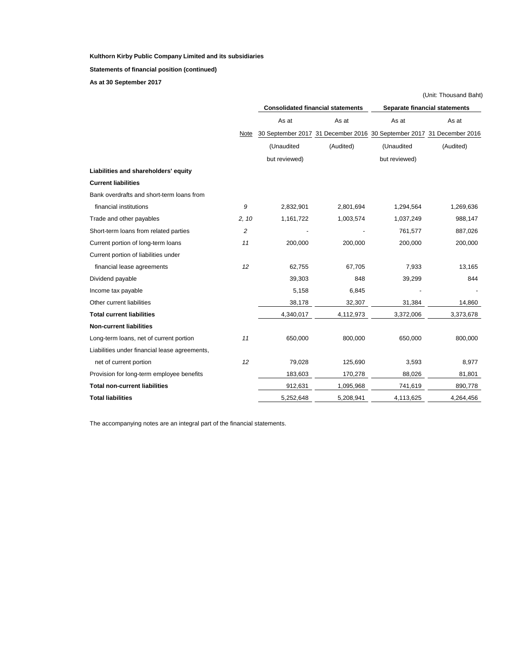**Statements of financial position (continued)**

**As at 30 September 2017**

|                                               |                |               |                                          |                                                                       | (Unit: Thousand Baht)                |  |  |  |
|-----------------------------------------------|----------------|---------------|------------------------------------------|-----------------------------------------------------------------------|--------------------------------------|--|--|--|
|                                               |                |               | <b>Consolidated financial statements</b> |                                                                       | <b>Separate financial statements</b> |  |  |  |
|                                               |                | As at         | As at                                    | As at                                                                 | As at                                |  |  |  |
|                                               | Note           |               |                                          | 30 September 2017 31 December 2016 30 September 2017 31 December 2016 |                                      |  |  |  |
|                                               |                | (Unaudited    | (Audited)                                | (Unaudited                                                            | (Audited)                            |  |  |  |
|                                               |                | but reviewed) |                                          | but reviewed)                                                         |                                      |  |  |  |
| Liabilities and shareholders' equity          |                |               |                                          |                                                                       |                                      |  |  |  |
| <b>Current liabilities</b>                    |                |               |                                          |                                                                       |                                      |  |  |  |
| Bank overdrafts and short-term loans from     |                |               |                                          |                                                                       |                                      |  |  |  |
| financial institutions                        | 9              | 2,832,901     | 2,801,694                                | 1,294,564                                                             | 1,269,636                            |  |  |  |
| Trade and other payables                      | 2, 10          | 1,161,722     | 1,003,574                                | 1,037,249                                                             | 988,147                              |  |  |  |
| Short-term loans from related parties         | $\overline{c}$ |               |                                          | 761,577                                                               | 887,026                              |  |  |  |
| Current portion of long-term loans            | 11             | 200,000       | 200,000                                  | 200,000                                                               | 200,000                              |  |  |  |
| Current portion of liabilities under          |                |               |                                          |                                                                       |                                      |  |  |  |
| financial lease agreements                    | 12             | 62,755        | 67,705                                   | 7,933                                                                 | 13,165                               |  |  |  |
| Dividend payable                              |                | 39,303        | 848                                      | 39,299                                                                | 844                                  |  |  |  |
| Income tax payable                            |                | 5,158         | 6,845                                    |                                                                       |                                      |  |  |  |
| Other current liabilities                     |                | 38,178        | 32,307                                   | 31,384                                                                | 14,860                               |  |  |  |
| <b>Total current liabilities</b>              |                | 4,340,017     | 4,112,973                                | 3,372,006                                                             | 3,373,678                            |  |  |  |
| <b>Non-current liabilities</b>                |                |               |                                          |                                                                       |                                      |  |  |  |
| Long-term loans, net of current portion       | 11             | 650,000       | 800,000                                  | 650,000                                                               | 800,000                              |  |  |  |
| Liabilities under financial lease agreements, |                |               |                                          |                                                                       |                                      |  |  |  |
| net of current portion                        | 12             | 79,028        | 125,690                                  | 3,593                                                                 | 8,977                                |  |  |  |
| Provision for long-term employee benefits     |                | 183,603       | 170,278                                  | 88,026                                                                | 81,801                               |  |  |  |
| <b>Total non-current liabilities</b>          |                | 912,631       | 1,095,968                                | 741,619                                                               | 890,778                              |  |  |  |
| <b>Total liabilities</b>                      |                | 5,252,648     | 5,208,941                                | 4,113,625                                                             | 4,264,456                            |  |  |  |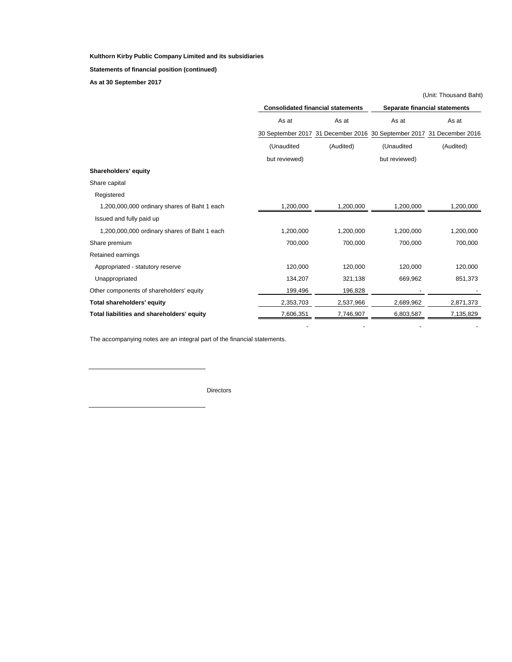**Statements of financial position (continued)**

**As at 30 September 2017**

|                                              |               |                                          |                                                                       | (Unit: Thousand Baht) |  |
|----------------------------------------------|---------------|------------------------------------------|-----------------------------------------------------------------------|-----------------------|--|
|                                              |               | <b>Consolidated financial statements</b> | <b>Separate financial statements</b>                                  |                       |  |
|                                              | As at         | As at                                    | As at                                                                 | As at                 |  |
|                                              |               |                                          | 30 September 2017 31 December 2016 30 September 2017 31 December 2016 |                       |  |
|                                              | (Unaudited    | (Audited)                                | (Unaudited                                                            | (Audited)             |  |
|                                              | but reviewed) |                                          | but reviewed)                                                         |                       |  |
| <b>Shareholders' equity</b>                  |               |                                          |                                                                       |                       |  |
| Share capital                                |               |                                          |                                                                       |                       |  |
| Registered                                   |               |                                          |                                                                       |                       |  |
| 1,200,000,000 ordinary shares of Baht 1 each | 1,200,000     | 1,200,000                                | 1,200,000                                                             | 1,200,000             |  |
| Issued and fully paid up                     |               |                                          |                                                                       |                       |  |
| 1,200,000,000 ordinary shares of Baht 1 each | 1,200,000     | 1,200,000                                | 1,200,000                                                             | 1,200,000             |  |
| Share premium                                | 700,000       | 700,000                                  | 700,000                                                               | 700,000               |  |
| Retained earnings                            |               |                                          |                                                                       |                       |  |
| Appropriated - statutory reserve             | 120,000       | 120,000                                  | 120,000                                                               | 120,000               |  |
| Unappropriated                               | 134,207       | 321,138                                  | 669,962                                                               | 851,373               |  |
| Other components of shareholders' equity     | 199,496       | 196,828                                  |                                                                       |                       |  |
| <b>Total shareholders' equity</b>            | 2,353,703     | 2,537,966                                | 2,689,962                                                             | 2,871,373             |  |
| Total liabilities and shareholders' equity   | 7,606,351     | 7,746,907                                | 6,803,587                                                             | 7,135,829             |  |
|                                              |               |                                          |                                                                       |                       |  |

The accompanying notes are an integral part of the financial statements.

**Directors**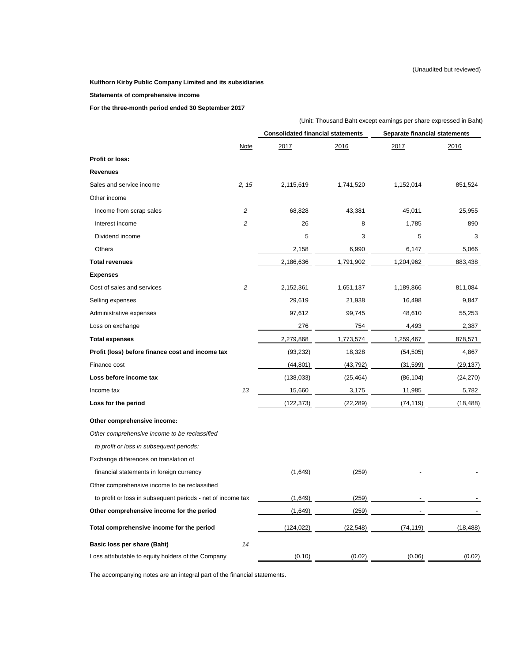# **Kulthorn Kirby Public Company Limited and its subsidiaries**

**Statements of comprehensive income**

**For the three-month period ended 30 September 2017** 

|                                                             |                                          | (Unit: Thousand Baht except earnings per share expressed in Baht) |           |                                      |           |  |  |  |
|-------------------------------------------------------------|------------------------------------------|-------------------------------------------------------------------|-----------|--------------------------------------|-----------|--|--|--|
|                                                             | <b>Consolidated financial statements</b> |                                                                   |           | <b>Separate financial statements</b> |           |  |  |  |
|                                                             | <b>Note</b>                              | 2017                                                              | 2016      | 2017                                 | 2016      |  |  |  |
| <b>Profit or loss:</b>                                      |                                          |                                                                   |           |                                      |           |  |  |  |
| <b>Revenues</b>                                             |                                          |                                                                   |           |                                      |           |  |  |  |
| Sales and service income                                    | 2, 15                                    | 2,115,619                                                         | 1,741,520 | 1,152,014                            | 851,524   |  |  |  |
| Other income                                                |                                          |                                                                   |           |                                      |           |  |  |  |
| Income from scrap sales                                     | $\overline{c}$                           | 68,828                                                            | 43,381    | 45,011                               | 25,955    |  |  |  |
| Interest income                                             | $\overline{c}$                           | 26                                                                | 8         | 1,785                                | 890       |  |  |  |
| Dividend income                                             |                                          | 5                                                                 | 3         | 5                                    | 3         |  |  |  |
| Others                                                      |                                          | 2,158                                                             | 6,990     | 6,147                                | 5,066     |  |  |  |
| <b>Total revenues</b>                                       |                                          | 2,186,636                                                         | 1,791,902 | 1,204,962                            | 883,438   |  |  |  |
| <b>Expenses</b>                                             |                                          |                                                                   |           |                                      |           |  |  |  |
| Cost of sales and services                                  | $\overline{c}$                           | 2,152,361                                                         | 1,651,137 | 1,189,866                            | 811,084   |  |  |  |
| Selling expenses                                            |                                          | 29,619                                                            | 21,938    | 16,498                               | 9,847     |  |  |  |
| Administrative expenses                                     |                                          | 97,612                                                            | 99,745    | 48,610                               | 55,253    |  |  |  |
| Loss on exchange                                            |                                          | 276                                                               | 754       | 4,493                                | 2,387     |  |  |  |
| <b>Total expenses</b>                                       |                                          | 2,279,868                                                         | 1,773,574 | 1,259,467                            | 878,571   |  |  |  |
| Profit (loss) before finance cost and income tax            |                                          | (93, 232)                                                         | 18,328    | (54, 505)                            | 4,867     |  |  |  |
| Finance cost                                                |                                          | (44, 801)                                                         | (43, 792) | (31, 599)                            | (29,137)  |  |  |  |
| Loss before income tax                                      |                                          | (138, 033)                                                        | (25, 464) | (86, 104)                            | (24, 270) |  |  |  |
| Income tax                                                  | 1.3 <sup>1</sup>                         | 15,660                                                            | 3,175     | 11,985                               | 5,782     |  |  |  |
| Loss for the period                                         |                                          | (122, 373)                                                        | (22, 289) | (74, 119)                            | (18, 488) |  |  |  |
| Other comprehensive income:                                 |                                          |                                                                   |           |                                      |           |  |  |  |
| Other comprehensive income to be reclassified               |                                          |                                                                   |           |                                      |           |  |  |  |
| to profit or loss in subsequent periods:                    |                                          |                                                                   |           |                                      |           |  |  |  |
| Exchange differences on translation of                      |                                          |                                                                   |           |                                      |           |  |  |  |
| financial statements in foreign currency                    |                                          | (1,649)                                                           | (259)     |                                      |           |  |  |  |
| Other comprehensive income to be reclassified               |                                          |                                                                   |           |                                      |           |  |  |  |
| to profit or loss in subsequent periods - net of income tax |                                          | (1,649)                                                           | (259)     |                                      |           |  |  |  |
| Other comprehensive income for the period                   |                                          | (1,649)                                                           | (259)     |                                      |           |  |  |  |
| Total comprehensive income for the period                   |                                          | (124, 022)                                                        | (22, 548) | (74, 119)                            | (18, 488) |  |  |  |
| <b>Basic loss per share (Baht)</b>                          | 14                                       |                                                                   |           |                                      |           |  |  |  |
| Loss attributable to equity holders of the Company          |                                          | (0.10)                                                            | (0.02)    | (0.06)                               | (0.02)    |  |  |  |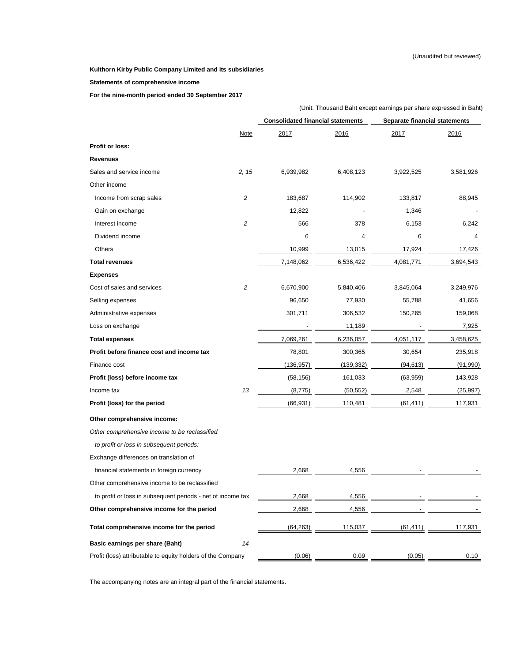# **Statements of comprehensive income**

**For the nine-month period ended 30 September 2017** 

|                                                             |                | (Unit: Thousand Baht except earnings per share expressed in Baht) |            |                                      |           |  |  |
|-------------------------------------------------------------|----------------|-------------------------------------------------------------------|------------|--------------------------------------|-----------|--|--|
|                                                             |                | <b>Consolidated financial statements</b>                          |            | <b>Separate financial statements</b> |           |  |  |
|                                                             | <b>Note</b>    | 2017                                                              | 2016       | 2017                                 | 2016      |  |  |
| <b>Profit or loss:</b>                                      |                |                                                                   |            |                                      |           |  |  |
| <b>Revenues</b>                                             |                |                                                                   |            |                                      |           |  |  |
| Sales and service income                                    | 2, 15          | 6,939,982                                                         | 6,408,123  | 3,922,525                            | 3,581,926 |  |  |
| Other income                                                |                |                                                                   |            |                                      |           |  |  |
| Income from scrap sales                                     | $\overline{c}$ | 183,687                                                           | 114,902    | 133,817                              | 88,945    |  |  |
| Gain on exchange                                            |                | 12,822                                                            |            | 1,346                                |           |  |  |
| Interest income                                             | $\overline{c}$ | 566                                                               | 378        | 6,153                                | 6,242     |  |  |
| Dividend income                                             |                | 6                                                                 | 4          | 6                                    | 4         |  |  |
| Others                                                      |                | 10,999                                                            | 13,015     | 17,924                               | 17,426    |  |  |
| <b>Total revenues</b>                                       |                | 7,148,062                                                         | 6,536,422  | 4,081,771                            | 3,694,543 |  |  |
| <b>Expenses</b>                                             |                |                                                                   |            |                                      |           |  |  |
| Cost of sales and services                                  | $\overline{c}$ | 6,670,900                                                         | 5,840,406  | 3,845,064                            | 3,249,976 |  |  |
| Selling expenses                                            |                | 96,650                                                            | 77,930     | 55,788                               | 41,656    |  |  |
| Administrative expenses                                     |                | 301,711                                                           | 306,532    | 150,265                              | 159,068   |  |  |
| Loss on exchange                                            |                |                                                                   | 11,189     |                                      | 7,925     |  |  |
| <b>Total expenses</b>                                       |                | 7,069,261                                                         | 6,236,057  | 4,051,117                            | 3,458,625 |  |  |
| Profit before finance cost and income tax                   |                | 78,801                                                            | 300,365    | 30,654                               | 235,918   |  |  |
| Finance cost                                                |                | (136, 957)                                                        | (139, 332) | (94, 613)                            | (91, 990) |  |  |
| Profit (loss) before income tax                             |                | (58, 156)                                                         | 161,033    | (63,959)                             | 143,928   |  |  |
| Income tax                                                  | 13             | (8,775)                                                           | (50, 552)  | 2,548                                | (25, 997) |  |  |
| Profit (loss) for the period                                |                | (66, 931)                                                         | 110,481    | (61, 411)                            | 117,931   |  |  |
| Other comprehensive income:                                 |                |                                                                   |            |                                      |           |  |  |
| Other comprehensive income to be reclassified               |                |                                                                   |            |                                      |           |  |  |
| to profit or loss in subsequent periods:                    |                |                                                                   |            |                                      |           |  |  |
| Exchange differences on translation of                      |                |                                                                   |            |                                      |           |  |  |
| financial statements in foreign currency                    |                | 2,668                                                             | 4,556      |                                      |           |  |  |
| Other comprehensive income to be reclassified               |                |                                                                   |            |                                      |           |  |  |
| to profit or loss in subsequent periods - net of income tax |                | 2,668                                                             | 4,556      |                                      |           |  |  |
| Other comprehensive income for the period                   |                | 2,668                                                             | 4,556      |                                      |           |  |  |
| Total comprehensive income for the period                   |                | (64, 263)                                                         | 115,037    | (61, 411)                            | 117,931   |  |  |
| <b>Basic earnings per share (Baht)</b>                      | 14             |                                                                   |            |                                      |           |  |  |
| Profit (loss) attributable to equity holders of the Company |                | (0.06)                                                            | 0.09       | (0.05)                               | 0.10      |  |  |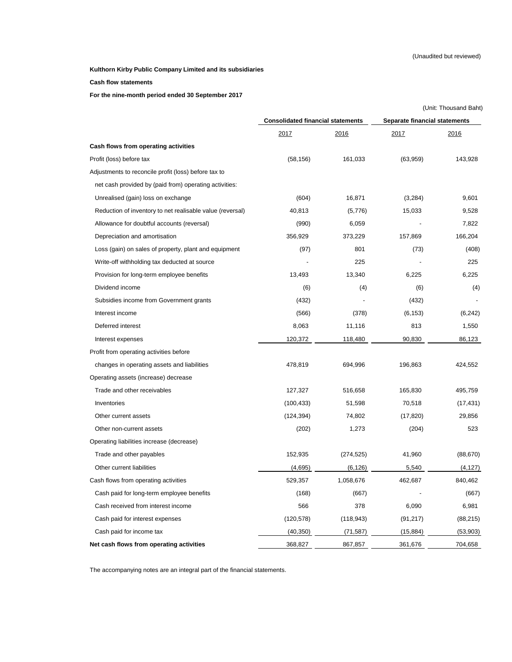# **Cash flow statements**

**For the nine-month period ended 30 September 2017** 

|                                                           |                                          |            | (Unit: Thousand Baht)                |           |  |  |
|-----------------------------------------------------------|------------------------------------------|------------|--------------------------------------|-----------|--|--|
|                                                           | <b>Consolidated financial statements</b> |            | <b>Separate financial statements</b> |           |  |  |
|                                                           | 2017                                     | 2016       | 2017                                 | 2016      |  |  |
| Cash flows from operating activities                      |                                          |            |                                      |           |  |  |
| Profit (loss) before tax                                  | (58, 156)                                | 161,033    | (63, 959)                            | 143,928   |  |  |
| Adjustments to reconcile profit (loss) before tax to      |                                          |            |                                      |           |  |  |
| net cash provided by (paid from) operating activities:    |                                          |            |                                      |           |  |  |
| Unrealised (gain) loss on exchange                        | (604)                                    | 16,871     | (3,284)                              | 9,601     |  |  |
| Reduction of inventory to net realisable value (reversal) | 40,813                                   | (5,776)    | 15,033                               | 9,528     |  |  |
| Allowance for doubtful accounts (reversal)                | (990)                                    | 6,059      |                                      | 7,822     |  |  |
| Depreciation and amortisation                             | 356,929                                  | 373,229    | 157,869                              | 166,204   |  |  |
| Loss (gain) on sales of property, plant and equipment     | (97)                                     | 801        | (73)                                 | (408)     |  |  |
| Write-off withholding tax deducted at source              |                                          | 225        |                                      | 225       |  |  |
| Provision for long-term employee benefits                 | 13,493                                   | 13,340     | 6,225                                | 6,225     |  |  |
| Dividend income                                           | (6)                                      | (4)        | (6)                                  | (4)       |  |  |
| Subsidies income from Government grants                   | (432)                                    |            | (432)                                |           |  |  |
| Interest income                                           | (566)                                    | (378)      | (6, 153)                             | (6, 242)  |  |  |
| Deferred interest                                         | 8,063                                    | 11,116     | 813                                  | 1,550     |  |  |
| Interest expenses                                         | 120,372                                  | 118,480    | 90,830                               | 86,123    |  |  |
| Profit from operating activities before                   |                                          |            |                                      |           |  |  |
| changes in operating assets and liabilities               | 478,819                                  | 694,996    | 196,863                              | 424,552   |  |  |
| Operating assets (increase) decrease                      |                                          |            |                                      |           |  |  |
| Trade and other receivables                               | 127,327                                  | 516,658    | 165,830                              | 495,759   |  |  |
| Inventories                                               | (100, 433)                               | 51,598     | 70,518                               | (17, 431) |  |  |
| Other current assets                                      | (124, 394)                               | 74,802     | (17, 820)                            | 29,856    |  |  |
| Other non-current assets                                  | (202)                                    | 1,273      | (204)                                | 523       |  |  |
| Operating liabilities increase (decrease)                 |                                          |            |                                      |           |  |  |
| Trade and other payables                                  | 152,935                                  | (274, 525) | 41,960                               | (88, 670) |  |  |
| Other current liabilities                                 | (4,695)                                  | (6, 126)   | 5,540                                | (4, 127)  |  |  |
| Cash flows from operating activities                      | 529,357                                  | 1,058,676  | 462,687                              | 840,462   |  |  |
| Cash paid for long-term employee benefits                 | (168)                                    | (667)      |                                      | (667)     |  |  |
| Cash received from interest income                        | 566                                      | 378        | 6,090                                | 6,981     |  |  |
| Cash paid for interest expenses                           | (120, 578)                               | (118, 943) | (91, 217)                            | (88, 215) |  |  |
| Cash paid for income tax                                  | (40, 350)                                | (71, 587)  | (15, 884)                            | (53,903)  |  |  |
| Net cash flows from operating activities                  | 368,827                                  | 867,857    | 361,676                              | 704,658   |  |  |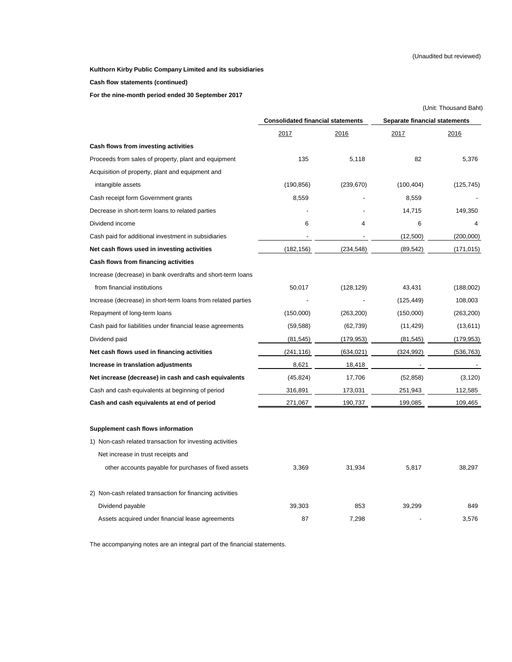**Cash flow statements (continued)**

**For the nine-month period ended 30 September 2017** 

|                                                              |                                          |            | (Unit: Thousand Baht)                |            |  |
|--------------------------------------------------------------|------------------------------------------|------------|--------------------------------------|------------|--|
|                                                              | <b>Consolidated financial statements</b> |            | <b>Separate financial statements</b> |            |  |
|                                                              | 2017                                     | 2016       | 2017                                 | 2016       |  |
| Cash flows from investing activities                         |                                          |            |                                      |            |  |
| Proceeds from sales of property, plant and equipment         | 135                                      | 5,118      | 82                                   | 5,376      |  |
| Acquisition of property, plant and equipment and             |                                          |            |                                      |            |  |
| intangible assets                                            | (190, 856)                               | (239, 670) | (100, 404)                           | (125, 745) |  |
| Cash receipt form Government grants                          | 8,559                                    |            | 8,559                                |            |  |
| Decrease in short-term loans to related parties              |                                          |            | 14,715                               | 149,350    |  |
| Dividend income                                              | 6                                        | 4          | 6                                    | 4          |  |
| Cash paid for additional investment in subsidiaries          |                                          |            | (12,500)                             | (200,000)  |  |
| Net cash flows used in investing activities                  | (182, 156)                               | (234, 548) | (89, 542)                            | (171, 015) |  |
| <b>Cash flows from financing activities</b>                  |                                          |            |                                      |            |  |
| Increase (decrease) in bank overdrafts and short-term loans  |                                          |            |                                      |            |  |
| from financial institutions                                  | 50,017                                   | (128, 129) | 43,431                               | (188,002)  |  |
| Increase (decrease) in short-term loans from related parties |                                          |            | (125, 449)                           | 108,003    |  |
| Repayment of long-term loans                                 | (150,000)                                | (263, 200) | (150,000)                            | (263, 200) |  |
| Cash paid for liabilities under financial lease agreements   | (59, 588)                                | (62, 739)  | (11, 429)                            | (13,611)   |  |
| Dividend paid                                                | (81, 545)                                | (179, 953) | (81, 545)                            | (179, 953) |  |
| Net cash flows used in financing activities                  | (241, 116)                               | (634, 021) | (324, 992)                           | (536, 763) |  |
| Increase in translation adjustments                          | 8,621                                    | 18,418     |                                      |            |  |
| Net increase (decrease) in cash and cash equivalents         | (45, 824)                                | 17,706     | (52, 858)                            | (3, 120)   |  |
| Cash and cash equivalents at beginning of period             | 316,891                                  | 173,031    | 251,943                              | 112,585    |  |
| Cash and cash equivalents at end of period                   | 271,067                                  | 190,737    | 199,085                              | 109,465    |  |
| Supplement cash flows information                            |                                          |            |                                      |            |  |
| 1) Non-cash related transaction for investing activities     |                                          |            |                                      |            |  |
| Net increase in trust receipts and                           |                                          |            |                                      |            |  |
| other accounts payable for purchases of fixed assets         | 3,369                                    | 31,934     | 5,817                                | 38,297     |  |
| 2) Non-cash related transaction for financing activities     |                                          |            |                                      |            |  |
| Dividend payable                                             | 39,303                                   | 853        | 39,299                               | 849        |  |
| Assets acquired under financial lease agreements             | 87                                       | 7,298      |                                      | 3,576      |  |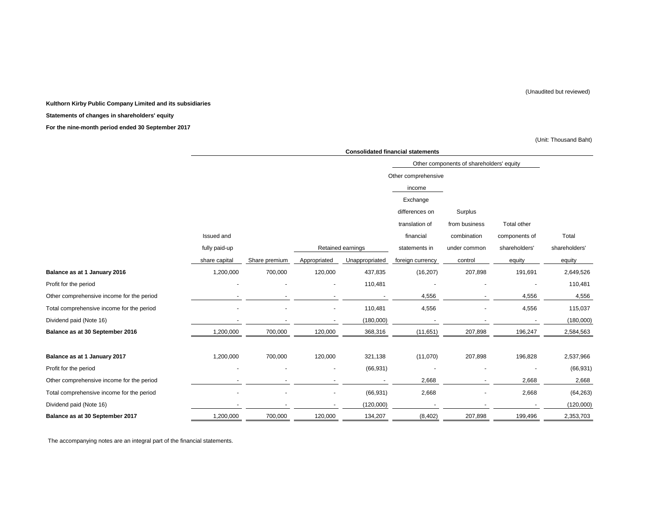**Kulthorn Kirby Public Company Limited and its subsidiaries**

**Statements of changes in shareholders' equity**

**For the nine-month period ended 30 September 2017**

# (Unit: Thousand Baht)

|                                           | <b>Consolidated financial statements</b> |               |              |                   |                     |                                          |               |               |  |  |
|-------------------------------------------|------------------------------------------|---------------|--------------|-------------------|---------------------|------------------------------------------|---------------|---------------|--|--|
|                                           |                                          |               |              |                   |                     | Other components of shareholders' equity |               |               |  |  |
|                                           |                                          |               |              |                   | Other comprehensive |                                          |               |               |  |  |
|                                           |                                          |               |              |                   | income              |                                          |               |               |  |  |
|                                           |                                          |               |              |                   | Exchange            |                                          |               |               |  |  |
|                                           |                                          |               |              |                   | differences on      | Surplus                                  |               |               |  |  |
|                                           |                                          |               |              |                   | translation of      | from business                            | Total other   |               |  |  |
|                                           | Issued and                               |               |              |                   | financial           | combination                              | components of | Total         |  |  |
|                                           | fully paid-up                            |               |              | Retained earnings | statements in       | under common                             | shareholders' | shareholders' |  |  |
|                                           | share capital                            | Share premium | Appropriated | Unappropriated    | foreign currency    | control                                  | equity        | equity        |  |  |
| Balance as at 1 January 2016              | 1,200,000                                | 700,000       | 120,000      | 437,835           | (16, 207)           | 207,898                                  | 191,691       | 2,649,526     |  |  |
| Profit for the period                     |                                          |               |              | 110,481           |                     |                                          |               | 110,481       |  |  |
| Other comprehensive income for the period |                                          |               |              |                   | 4,556               |                                          | 4,556         | 4,556         |  |  |
| Total comprehensive income for the period |                                          |               |              | 110,481           | 4,556               |                                          | 4,556         | 115,037       |  |  |
| Dividend paid (Note 16)                   |                                          |               |              | (180,000)         |                     |                                          |               | (180,000)     |  |  |
| Balance as at 30 September 2016           | 1,200,000                                | 700,000       | 120,000      | 368,316           | (11,651)            | 207,898                                  | 196,247       | 2,584,563     |  |  |
| Balance as at 1 January 2017              | 1,200,000                                | 700,000       | 120,000      | 321,138           | (11,070)            | 207,898                                  | 196,828       | 2,537,966     |  |  |
| Profit for the period                     |                                          |               |              | (66, 931)         |                     |                                          |               | (66, 931)     |  |  |
| Other comprehensive income for the period |                                          |               |              |                   | 2,668               |                                          | 2,668         | 2,668         |  |  |
| Total comprehensive income for the period |                                          |               |              | (66, 931)         | 2,668               |                                          | 2,668         | (64, 263)     |  |  |
| Dividend paid (Note 16)                   |                                          |               |              | (120,000)         |                     |                                          |               | (120,000)     |  |  |
| Balance as at 30 September 2017           | 1,200,000                                | 700,000       | 120,000      | 134,207           | (8, 402)            | 207,898                                  | 199,496       | 2,353,703     |  |  |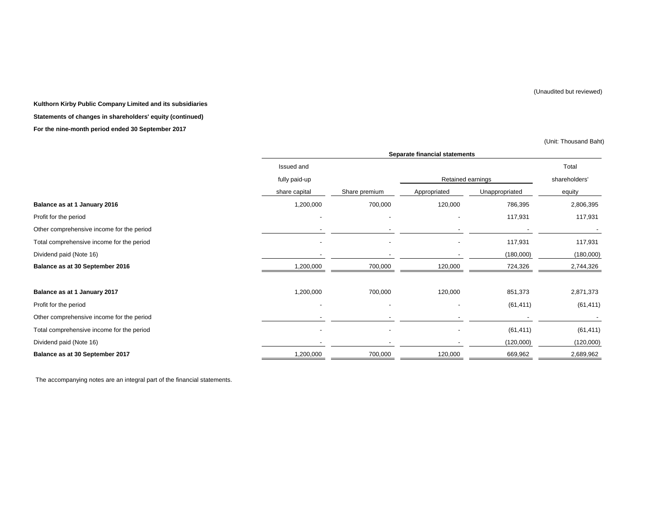(Unit: Thousand Baht)

**Kulthorn Kirby Public Company Limited and its subsidiaries Statements of changes in shareholders' equity (continued) For the nine-month period ended 30 September 2017**

|                                           |               | <b>Separate financial statements</b> |                   |                |               |  |  |  |
|-------------------------------------------|---------------|--------------------------------------|-------------------|----------------|---------------|--|--|--|
|                                           | Issued and    |                                      |                   |                | Total         |  |  |  |
|                                           | fully paid-up |                                      | Retained earnings |                | shareholders' |  |  |  |
|                                           | share capital | Share premium                        | Appropriated      | Unappropriated | equity        |  |  |  |
| Balance as at 1 January 2016              | 1,200,000     | 700,000                              | 120,000           | 786,395        | 2,806,395     |  |  |  |
| Profit for the period                     |               |                                      |                   | 117,931        | 117,931       |  |  |  |
| Other comprehensive income for the period |               |                                      |                   |                |               |  |  |  |
| Total comprehensive income for the period |               |                                      |                   | 117,931        | 117,931       |  |  |  |
| Dividend paid (Note 16)                   |               |                                      |                   | (180,000)      | (180,000)     |  |  |  |
| Balance as at 30 September 2016           | 1,200,000     | 700,000                              | 120,000           | 724,326        | 2,744,326     |  |  |  |
| Balance as at 1 January 2017              | 1,200,000     | 700,000                              | 120,000           | 851,373        | 2,871,373     |  |  |  |
| Profit for the period                     |               |                                      |                   | (61, 411)      | (61, 411)     |  |  |  |
| Other comprehensive income for the period |               |                                      |                   |                |               |  |  |  |
| Total comprehensive income for the period |               | $\sim$                               |                   | (61, 411)      | (61, 411)     |  |  |  |
| Dividend paid (Note 16)                   |               |                                      |                   | (120,000)      | (120,000)     |  |  |  |
| Balance as at 30 September 2017           | 1,200,000     | 700,000                              | 120,000           | 669,962        | 2,689,962     |  |  |  |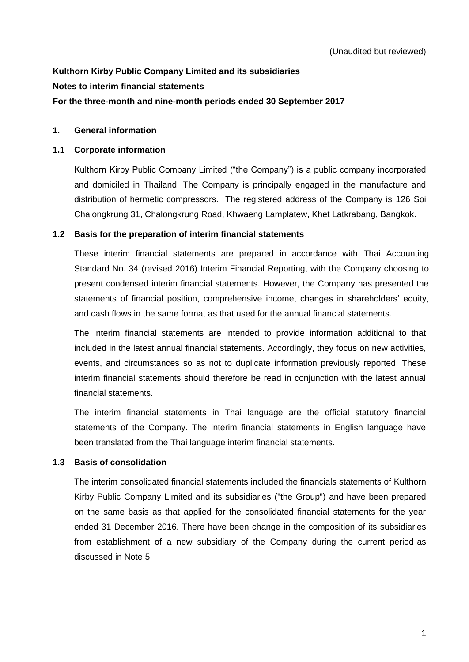# **Kulthorn Kirby Public Company Limited and its subsidiaries Notes to interim financial statements**

# **For the three-month and nine-month periods ended 30 September 2017**

# **1. General information**

### **1.1 Corporate information**

Kulthorn Kirby Public Company Limited ("the Company") is a public company incorporated and domiciled in Thailand. The Company is principally engaged in the manufacture and distribution of hermetic compressors. The registered address of the Company is 126 Soi Chalongkrung 31, Chalongkrung Road, Khwaeng Lamplatew, Khet Latkrabang, Bangkok.

# **1.2 Basis for the preparation of interim financial statements**

These interim financial statements are prepared in accordance with Thai Accounting Standard No. 34 (revised 2016) Interim Financial Reporting, with the Company choosing to present condensed interim financial statements. However, the Company has presented the statements of financial position, comprehensive income, changes in shareholders' equity, and cash flows in the same format as that used for the annual financial statements.

The interim financial statements are intended to provide information additional to that included in the latest annual financial statements. Accordingly, they focus on new activities, events, and circumstances so as not to duplicate information previously reported. These interim financial statements should therefore be read in conjunction with the latest annual financial statements.

The interim financial statements in Thai language are the official statutory financial statements of the Company. The interim financial statements in English language have been translated from the Thai language interim financial statements.

# **1.3 Basis of consolidation**

The interim consolidated financial statements included the financials statements of Kulthorn Kirby Public Company Limited and its subsidiaries ("the Group") and have been prepared on the same basis as that applied for the consolidated financial statements for the year ended 31 December 2016. There have been change in the composition of its subsidiaries from establishment of a new subsidiary of the Company during the current period as discussed in Note 5.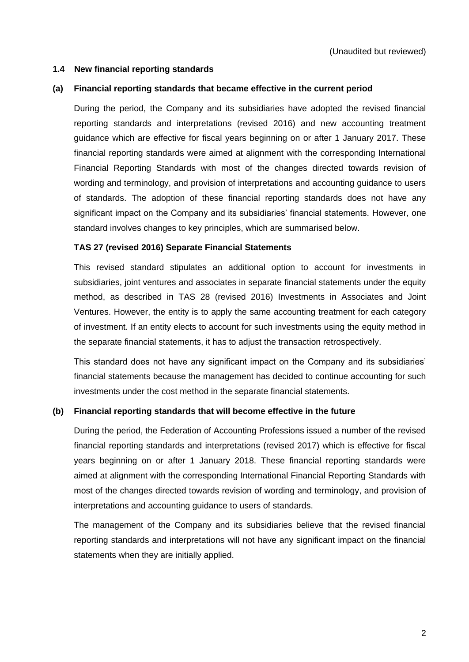# **1.4 New financial reporting standards**

#### **(a) Financial reporting standards that became effective in the current period**

During the period, the Company and its subsidiaries have adopted the revised financial reporting standards and interpretations (revised 2016) and new accounting treatment guidance which are effective for fiscal years beginning on or after 1 January 2017. These financial reporting standards were aimed at alignment with the corresponding International Financial Reporting Standards with most of the changes directed towards revision of wording and terminology, and provision of interpretations and accounting guidance to users of standards. The adoption of these financial reporting standards does not have any significant impact on the Company and its subsidiaries' financial statements. However, one standard involves changes to key principles, which are summarised below.

### **TAS 27 (revised 2016) Separate Financial Statements**

This revised standard stipulates an additional option to account for investments in subsidiaries, joint ventures and associates in separate financial statements under the equity method, as described in TAS 28 (revised 2016) Investments in Associates and Joint Ventures. However, the entity is to apply the same accounting treatment for each category of investment. If an entity elects to account for such investments using the equity method in the separate financial statements, it has to adjust the transaction retrospectively.

This standard does not have any significant impact on the Company and its subsidiaries' financial statements because the management has decided to continue accounting for such investments under the cost method in the separate financial statements.

#### **(b) Financial reporting standards that will become effective in the future**

During the period, the Federation of Accounting Professions issued a number of the revised financial reporting standards and interpretations (revised 2017) which is effective for fiscal years beginning on or after 1 January 2018. These financial reporting standards were aimed at alignment with the corresponding International Financial Reporting Standards with most of the changes directed towards revision of wording and terminology, and provision of interpretations and accounting guidance to users of standards.

The management of the Company and its subsidiaries believe that the revised financial reporting standards and interpretations will not have any significant impact on the financial statements when they are initially applied.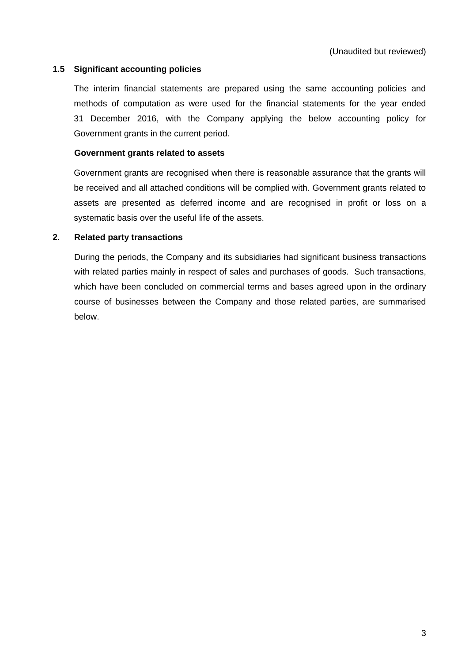# **1.5 Significant accounting policies**

The interim financial statements are prepared using the same accounting policies and methods of computation as were used for the financial statements for the year ended 31 December 2016, with the Company applying the below accounting policy for Government grants in the current period.

### **Government grants related to assets**

Government grants are recognised when there is reasonable assurance that the grants will be received and all attached conditions will be complied with. Government grants related to assets are presented as deferred income and are recognised in profit or loss on a systematic basis over the useful life of the assets.

# **2. Related party transactions**

During the periods, the Company and its subsidiaries had significant business transactions with related parties mainly in respect of sales and purchases of goods. Such transactions, which have been concluded on commercial terms and bases agreed upon in the ordinary course of businesses between the Company and those related parties, are summarised below.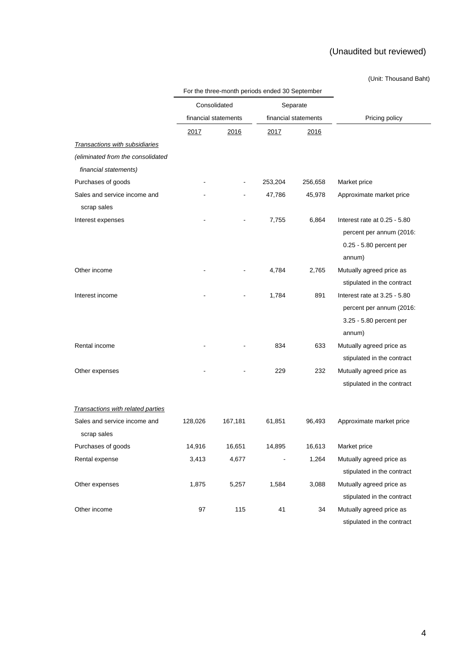#### (Unit: Thousand Baht)

|                                   |                      | For the three-month periods ended 30 September |         |                      |                              |
|-----------------------------------|----------------------|------------------------------------------------|---------|----------------------|------------------------------|
|                                   | Consolidated         |                                                |         | Separate             |                              |
|                                   | financial statements |                                                |         | financial statements | Pricing policy               |
|                                   | 2017                 | 2016                                           | 2017    | 2016                 |                              |
| Transactions with subsidiaries    |                      |                                                |         |                      |                              |
| (eliminated from the consolidated |                      |                                                |         |                      |                              |
| financial statements)             |                      |                                                |         |                      |                              |
| Purchases of goods                |                      |                                                | 253,204 | 256,658              | Market price                 |
| Sales and service income and      |                      |                                                | 47,786  | 45,978               | Approximate market price     |
| scrap sales                       |                      |                                                |         |                      |                              |
| Interest expenses                 |                      |                                                | 7,755   | 6,864                | Interest rate at 0.25 - 5.80 |
|                                   |                      |                                                |         |                      | percent per annum (2016:     |
|                                   |                      |                                                |         |                      | 0.25 - 5.80 percent per      |
|                                   |                      |                                                |         |                      | annum)                       |
| Other income                      |                      |                                                | 4,784   | 2,765                | Mutually agreed price as     |
|                                   |                      |                                                |         |                      | stipulated in the contract   |
| Interest income                   |                      |                                                | 1,784   | 891                  | Interest rate at 3.25 - 5.80 |
|                                   |                      |                                                |         |                      | percent per annum (2016:     |
|                                   |                      |                                                |         |                      | 3.25 - 5.80 percent per      |
|                                   |                      |                                                |         |                      | annum)                       |
| Rental income                     |                      |                                                | 834     | 633                  | Mutually agreed price as     |
|                                   |                      |                                                |         |                      | stipulated in the contract   |
| Other expenses                    |                      |                                                | 229     | 232                  | Mutually agreed price as     |
|                                   |                      |                                                |         |                      | stipulated in the contract   |
|                                   |                      |                                                |         |                      |                              |
| Transactions with related parties |                      |                                                |         |                      |                              |
| Sales and service income and      | 128,026              | 167,181                                        | 61,851  | 96,493               | Approximate market price     |
| scrap sales                       |                      |                                                |         |                      |                              |
| Purchases of goods                | 14,916               | 16,651                                         | 14,895  | 16,613               | Market price                 |
| Rental expense                    | 3,413                | 4,677                                          |         | 1,264                | Mutually agreed price as     |
|                                   |                      |                                                |         |                      | stipulated in the contract   |
| Other expenses                    | 1,875                | 5,257                                          | 1,584   | 3,088                | Mutually agreed price as     |
|                                   |                      |                                                |         |                      | stipulated in the contract   |
| Other income                      | 97                   | 115                                            | 41      | 34                   | Mutually agreed price as     |
|                                   |                      |                                                |         |                      | stipulated in the contract   |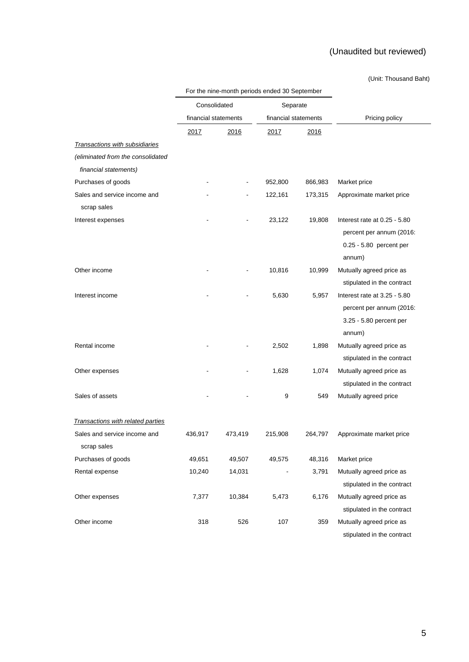#### (Unit: Thousand Baht)

|                                   |                      | For the nine-month periods ended 30 September |                      |         |                              |
|-----------------------------------|----------------------|-----------------------------------------------|----------------------|---------|------------------------------|
|                                   | Consolidated         |                                               | Separate             |         |                              |
|                                   | financial statements |                                               | financial statements |         | Pricing policy               |
|                                   | 2017                 | 2016                                          | 2017                 | 2016    |                              |
| Transactions with subsidiaries    |                      |                                               |                      |         |                              |
| (eliminated from the consolidated |                      |                                               |                      |         |                              |
| financial statements)             |                      |                                               |                      |         |                              |
| Purchases of goods                |                      |                                               | 952,800              | 866,983 | Market price                 |
| Sales and service income and      |                      |                                               | 122,161              | 173,315 | Approximate market price     |
| scrap sales                       |                      |                                               |                      |         |                              |
| Interest expenses                 |                      |                                               | 23,122               | 19,808  | Interest rate at 0.25 - 5.80 |
|                                   |                      |                                               |                      |         | percent per annum (2016:     |
|                                   |                      |                                               |                      |         | 0.25 - 5.80 percent per      |
|                                   |                      |                                               |                      |         | annum)                       |
| Other income                      |                      |                                               | 10,816               | 10,999  | Mutually agreed price as     |
|                                   |                      |                                               |                      |         | stipulated in the contract   |
| Interest income                   |                      |                                               | 5,630                | 5,957   | Interest rate at 3.25 - 5.80 |
|                                   |                      |                                               |                      |         | percent per annum (2016:     |
|                                   |                      |                                               |                      |         | 3.25 - 5.80 percent per      |
|                                   |                      |                                               |                      |         | annum)                       |
| Rental income                     |                      |                                               | 2,502                | 1,898   | Mutually agreed price as     |
|                                   |                      |                                               |                      |         | stipulated in the contract   |
| Other expenses                    |                      |                                               | 1,628                | 1,074   | Mutually agreed price as     |
|                                   |                      |                                               |                      |         | stipulated in the contract   |
| Sales of assets                   |                      |                                               | 9                    | 549     | Mutually agreed price        |
|                                   |                      |                                               |                      |         |                              |
| Transactions with related parties |                      |                                               |                      |         |                              |
| Sales and service income and      | 436,917              | 473,419                                       | 215,908              | 264,797 | Approximate market price     |
| scrap sales                       |                      |                                               |                      |         |                              |
| Purchases of goods                | 49,651               | 49,507                                        | 49,575               | 48,316  | Market price                 |
| Rental expense                    | 10,240               | 14,031                                        |                      | 3,791   | Mutually agreed price as     |
|                                   |                      |                                               |                      |         | stipulated in the contract   |
| Other expenses                    | 7,377                | 10,384                                        | 5,473                | 6,176   | Mutually agreed price as     |
|                                   |                      |                                               |                      |         | stipulated in the contract   |
| Other income                      | 318                  | 526                                           | 107                  | 359     | Mutually agreed price as     |
|                                   |                      |                                               |                      |         | stipulated in the contract   |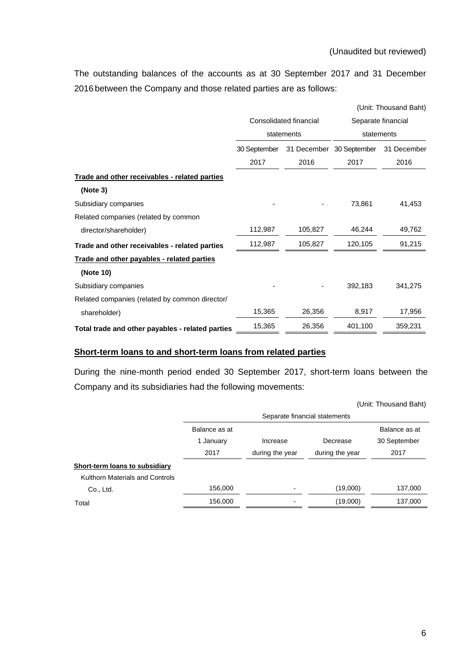The outstanding balances of the accounts as at 30 September 2017 and 31 December 2016 between the Company and those related parties are as follows:

|                                                  |              |                        | (Unit: Thousand Baht)            |             |  |
|--------------------------------------------------|--------------|------------------------|----------------------------------|-------------|--|
|                                                  |              | Consolidated financial | Separate financial<br>statements |             |  |
|                                                  |              | statements             |                                  |             |  |
|                                                  | 30 September | 31 December            | 30 September                     | 31 December |  |
|                                                  | 2017         | 2016                   | 2017                             | 2016        |  |
| Trade and other receivables - related parties    |              |                        |                                  |             |  |
| (Note 3)                                         |              |                        |                                  |             |  |
| Subsidiary companies                             |              |                        | 73,861                           | 41,453      |  |
| Related companies (related by common             |              |                        |                                  |             |  |
| director/shareholder)                            | 112,987      | 105,827                | 46,244                           | 49,762      |  |
| Trade and other receivables - related parties    | 112,987      | 105,827                | 120,105                          | 91,215      |  |
| Trade and other payables - related parties       |              |                        |                                  |             |  |
| (Note 10)                                        |              |                        |                                  |             |  |
| Subsidiary companies                             |              |                        | 392,183                          | 341,275     |  |
| Related companies (related by common director/   |              |                        |                                  |             |  |
| shareholder)                                     | 15,365       | 26,356                 | 8,917                            | 17,956      |  |
| Total trade and other payables - related parties | 15,365       | 26,356                 | 401,100                          | 359,231     |  |

### **Short-term loans to and short-term loans from related parties**

During the nine-month period ended 30 September 2017, short-term loans between the Company and its subsidiaries had the following movements:

|                                 |               |                               |                 | (Unit: Thousand Baht) |  |  |  |
|---------------------------------|---------------|-------------------------------|-----------------|-----------------------|--|--|--|
|                                 |               | Separate financial statements |                 |                       |  |  |  |
|                                 | Balance as at |                               |                 | Balance as at         |  |  |  |
|                                 | 1 January     | Increase                      | Decrease        | 30 September          |  |  |  |
|                                 | 2017          | during the year               | during the year | 2017                  |  |  |  |
| Short-term loans to subsidiary  |               |                               |                 |                       |  |  |  |
| Kulthorn Materials and Controls |               |                               |                 |                       |  |  |  |
| Co., Ltd.                       | 156,000       |                               | (19,000)        | 137,000               |  |  |  |
| Total                           | 156,000       |                               | (19,000)        | 137,000               |  |  |  |
|                                 |               |                               |                 |                       |  |  |  |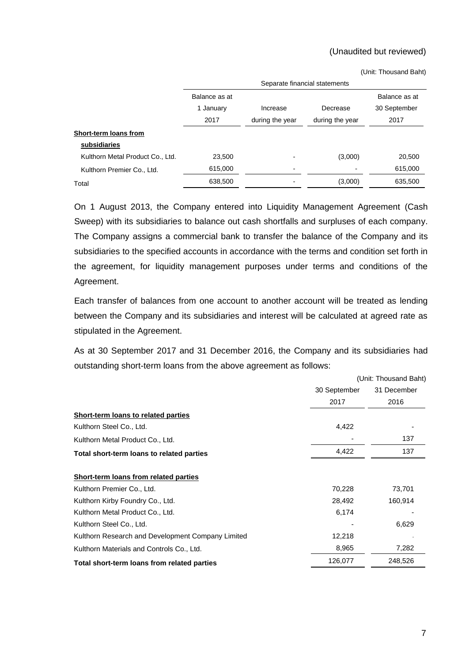(Unit: Thousand Baht)

|                                  | Separate financial statements |                 |                 |               |  |  |  |
|----------------------------------|-------------------------------|-----------------|-----------------|---------------|--|--|--|
|                                  | Balance as at                 |                 |                 | Balance as at |  |  |  |
|                                  | 1 January                     | Increase        | Decrease        | 30 September  |  |  |  |
|                                  | 2017                          | during the year | during the year | 2017          |  |  |  |
| Short-term loans from            |                               |                 |                 |               |  |  |  |
| subsidiaries                     |                               |                 |                 |               |  |  |  |
| Kulthorn Metal Product Co., Ltd. | 23,500                        |                 | (3,000)         | 20,500        |  |  |  |
| Kulthorn Premier Co., Ltd.       | 615,000                       |                 |                 | 615,000       |  |  |  |
| Total                            | 638,500                       |                 | (3,000)         | 635,500       |  |  |  |

On 1 August 2013, the Company entered into Liquidity Management Agreement (Cash Sweep) with its subsidiaries to balance out cash shortfalls and surpluses of each company. The Company assigns a commercial bank to transfer the balance of the Company and its subsidiaries to the specified accounts in accordance with the terms and condition set forth in the agreement, for liquidity management purposes under terms and conditions of the Agreement.

Each transfer of balances from one account to another account will be treated as lending between the Company and its subsidiaries and interest will be calculated at agreed rate as stipulated in the Agreement.

As at 30 September 2017 and 31 December 2016, the Company and its subsidiaries had outstanding short-term loans from the above agreement as follows:

|                                                   | (Unit: Thousand Baht) |             |  |
|---------------------------------------------------|-----------------------|-------------|--|
|                                                   | 30 September          | 31 December |  |
|                                                   | 2017                  | 2016        |  |
| Short-term loans to related parties               |                       |             |  |
| Kulthorn Steel Co., Ltd.                          | 4,422                 |             |  |
| Kulthorn Metal Product Co., Ltd.                  |                       | 137         |  |
| Total short-term loans to related parties         | 4,422                 | 137         |  |
| Short-term loans from related parties             |                       |             |  |
| Kulthorn Premier Co., Ltd.                        | 70,228                | 73,701      |  |
| Kulthorn Kirby Foundry Co., Ltd.                  | 28,492                | 160,914     |  |
| Kulthorn Metal Product Co., Ltd.                  | 6,174                 |             |  |
| Kulthorn Steel Co., Ltd.                          |                       | 6,629       |  |
| Kulthorn Research and Development Company Limited | 12,218                |             |  |
| Kulthorn Materials and Controls Co., Ltd.         | 8,965                 | 7,282       |  |
| Total short-term loans from related parties       | 126,077               | 248,526     |  |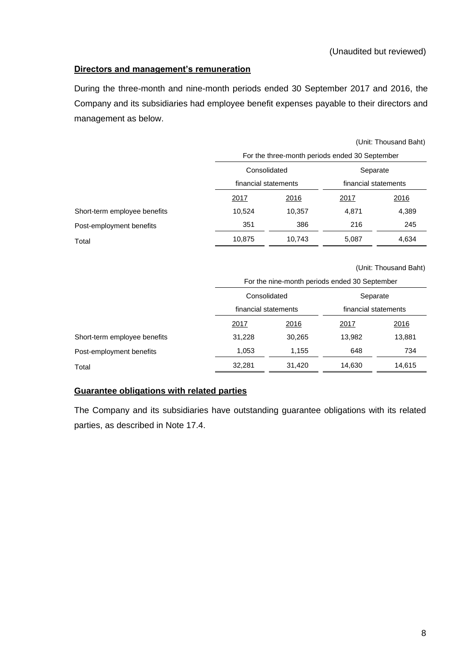# **Directors and management's remuneration**

During the three-month and nine-month periods ended 30 September 2017 and 2016, the Company and its subsidiaries had employee benefit expenses payable to their directors and management as below.

|                              | (Unit: Thousand Baht)                          |        |                      |             |  |
|------------------------------|------------------------------------------------|--------|----------------------|-------------|--|
|                              | For the three-month periods ended 30 September |        |                      |             |  |
|                              | Consolidated<br>Separate                       |        |                      |             |  |
|                              | financial statements                           |        | financial statements |             |  |
|                              | 2017<br>2016                                   |        | 2017                 | <u>2016</u> |  |
| Short-term employee benefits | 10,524                                         | 10,357 | 4,871                | 4,389       |  |
| Post-employment benefits     | 351                                            | 386    | 216                  | 245         |  |
| Total                        | 10,875                                         | 10,743 | 5,087                | 4,634       |  |

(Unit: Thousand Baht)

|                              |                      | For the nine-month periods ended 30 September |                                  |             |  |  |  |
|------------------------------|----------------------|-----------------------------------------------|----------------------------------|-------------|--|--|--|
|                              | Consolidated         |                                               | Separate<br>financial statements |             |  |  |  |
|                              | financial statements |                                               |                                  |             |  |  |  |
|                              | 2017                 | 2016                                          | 2017                             | <u>2016</u> |  |  |  |
| Short-term employee benefits | 31,228               | 30.265                                        | 13.982                           | 13,881      |  |  |  |
| Post-employment benefits     | 1,053                | 1,155                                         | 648                              | 734         |  |  |  |
| Total                        | 32,281               | 31,420                                        | 14,630                           | 14,615      |  |  |  |

# **Guarantee obligations with related parties**

The Company and its subsidiaries have outstanding guarantee obligations with its related parties, as described in Note 17.4.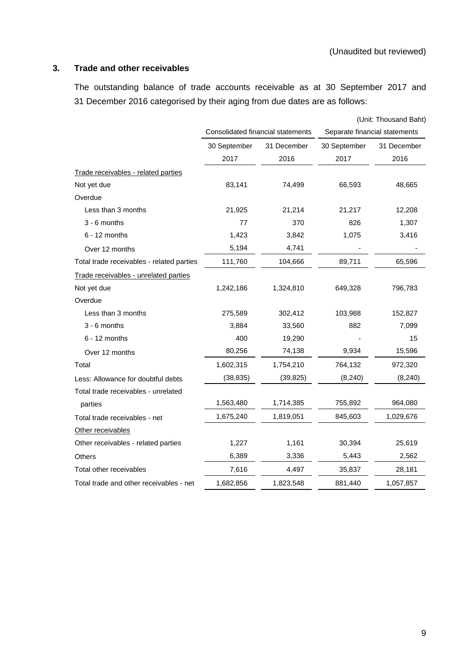# **3. Trade and other receivables**

The outstanding balance of trade accounts receivable as at 30 September 2017 and 31 December 2016 categorised by their aging from due dates are as follows:

|                                           |              |                                   |                               | (Unit: Thousand Baht) |
|-------------------------------------------|--------------|-----------------------------------|-------------------------------|-----------------------|
|                                           |              | Consolidated financial statements | Separate financial statements |                       |
|                                           | 30 September | 31 December                       | 30 September                  | 31 December           |
|                                           | 2017         | 2016                              | 2017                          | 2016                  |
| Trade receivables - related parties       |              |                                   |                               |                       |
| Not yet due                               | 83,141       | 74,499                            | 66,593                        | 48,665                |
| Overdue                                   |              |                                   |                               |                       |
| Less than 3 months                        | 21,925       | 21,214                            | 21,217                        | 12,208                |
| $3 - 6$ months                            | 77           | 370                               | 826                           | 1,307                 |
| $6 - 12$ months                           | 1,423        | 3,842                             | 1,075                         | 3,416                 |
| Over 12 months                            | 5,194        | 4,741                             |                               |                       |
| Total trade receivables - related parties | 111,760      | 104,666                           | 89,711                        | 65,596                |
| Trade receivables - unrelated parties     |              |                                   |                               |                       |
| Not yet due                               | 1,242,186    | 1,324,810                         | 649,328                       | 796,783               |
| Overdue                                   |              |                                   |                               |                       |
| Less than 3 months                        | 275,589      | 302,412                           | 103,988                       | 152,827               |
| 3 - 6 months                              | 3,884        | 33,560                            | 882                           | 7,099                 |
| $6 - 12$ months                           | 400          | 19,290                            |                               | 15                    |
| Over 12 months                            | 80,256       | 74,138                            | 9,934                         | 15,596                |
| Total                                     | 1,602,315    | 1,754,210                         | 764,132                       | 972,320               |
| Less: Allowance for doubtful debts        | (38, 835)    | (39, 825)                         | (8, 240)                      | (8, 240)              |
| Total trade receivables - unrelated       |              |                                   |                               |                       |
| parties                                   | 1,563,480    | 1,714,385                         | 755,892                       | 964,080               |
| Total trade receivables - net             | 1,675,240    | 1,819,051                         | 845,603                       | 1,029,676             |
| Other receivables                         |              |                                   |                               |                       |
| Other receivables - related parties       | 1,227        | 1,161                             | 30,394                        | 25,619                |
| Others                                    | 6,389        | 3,336                             | 5,443                         | 2,562                 |
| Total other receivables                   | 7,616        | 4,497                             | 35,837                        | 28,181                |
| Total trade and other receivables - net   | 1,682,856    | 1,823,548                         | 881,440                       | 1,057,857             |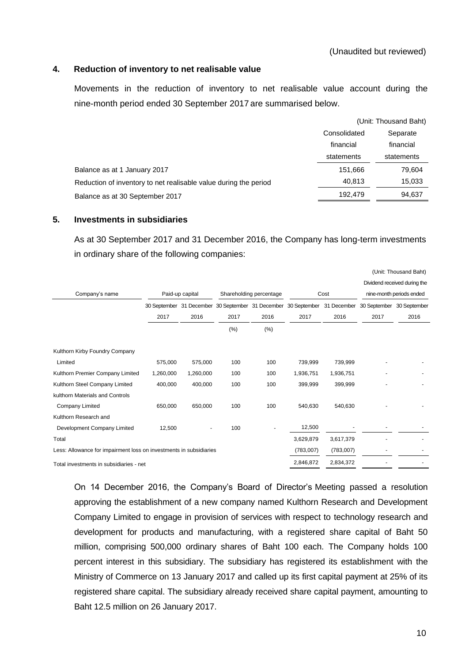### **4. Reduction of inventory to net realisable value**

Movements in the reduction of inventory to net realisable value account during the nine-month period ended 30 September 2017 are summarised below.

|                                                                  |              | (Unit: Thousand Baht) |
|------------------------------------------------------------------|--------------|-----------------------|
|                                                                  | Consolidated | Separate              |
|                                                                  | financial    | financial             |
|                                                                  | statements   | statements            |
| Balance as at 1 January 2017                                     | 151,666      | 79,604                |
| Reduction of inventory to net realisable value during the period | 40.813       | 15,033                |
| Balance as at 30 September 2017                                  | 192.479      | 94,637                |

# **5. Investments in subsidiaries**

As at 30 September 2017 and 31 December 2016, the Company has long-term investments in ordinary share of the following companies:

|                                                                    |                          |                 |      |                         |                                       |             |                          | (Unit: Thousand Baht)        |
|--------------------------------------------------------------------|--------------------------|-----------------|------|-------------------------|---------------------------------------|-------------|--------------------------|------------------------------|
|                                                                    |                          |                 |      |                         |                                       |             |                          | Dividend received during the |
| Company's name                                                     |                          | Paid-up capital |      | Shareholding percentage |                                       | Cost        | nine-month periods ended |                              |
|                                                                    | 30 September 31 December |                 |      |                         | 30 September 31 December 30 September | 31 December |                          | 30 September 30 September    |
|                                                                    | 2017                     | 2016            | 2017 | 2016                    | 2017                                  | 2016        | 2017                     | 2016                         |
|                                                                    |                          |                 | (%)  | (%)                     |                                       |             |                          |                              |
| Kulthorn Kirby Foundry Company                                     |                          |                 |      |                         |                                       |             |                          |                              |
| Limited                                                            | 575,000                  | 575,000         | 100  | 100                     | 739,999                               | 739,999     |                          |                              |
| Kulthorn Premier Company Limited                                   | 1,260,000                | 1,260,000       | 100  | 100                     | 1,936,751                             | 1,936,751   |                          |                              |
| Kulthorn Steel Company Limited                                     | 400,000                  | 400,000         | 100  | 100                     | 399,999                               | 399,999     |                          |                              |
| kulthorn Materials and Controls                                    |                          |                 |      |                         |                                       |             |                          |                              |
| Company Limited                                                    | 650,000                  | 650,000         | 100  | 100                     | 540,630                               | 540,630     |                          |                              |
| Kulthorn Research and                                              |                          |                 |      |                         |                                       |             |                          |                              |
| Development Company Limited                                        | 12,500                   |                 | 100  |                         | 12,500                                |             |                          |                              |
| Total                                                              |                          |                 |      |                         | 3,629,879                             | 3,617,379   |                          |                              |
| Less: Allowance for impairment loss on investments in subsidiaries |                          |                 |      |                         | (783,007)                             | (783,007)   |                          |                              |
| Total investments in subsidiaries - net                            |                          |                 |      |                         | 2,846,872                             | 2,834,372   |                          |                              |

On 14 December 2016, the Company's Board of Director's Meeting passed a resolution approving the establishment of a new company named Kulthorn Research and Development Company Limited to engage in provision of services with respect to technology research and development for products and manufacturing, with a registered share capital of Baht 50 million, comprising 500,000 ordinary shares of Baht 100 each. The Company holds 100 percent interest in this subsidiary. The subsidiary has registered its establishment with the Ministry of Commerce on 13 January 2017 and called up its first capital payment at 25% of its registered share capital. The subsidiary already received share capital payment, amounting to Baht 12.5 million on 26 January 2017.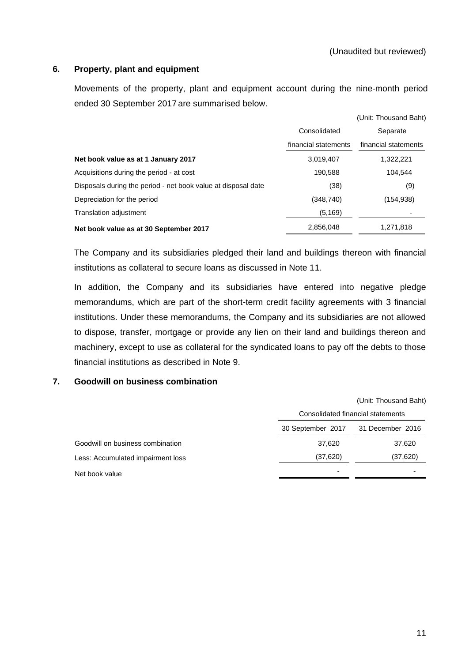### **6. Property, plant and equipment**

Movements of the property, plant and equipment account during the nine-month period ended 30 September 2017 are summarised below.

|                                                               |                      | (Unit: Thousand Baht) |
|---------------------------------------------------------------|----------------------|-----------------------|
|                                                               | Consolidated         | Separate              |
|                                                               | financial statements | financial statements  |
| Net book value as at 1 January 2017                           | 3,019,407            | 1,322,221             |
| Acquisitions during the period - at cost                      | 190.588              | 104.544               |
| Disposals during the period - net book value at disposal date | (38)                 | (9)                   |
| Depreciation for the period                                   | (348, 740)           | (154,938)             |
| Translation adjustment                                        | (5, 169)             |                       |
| Net book value as at 30 September 2017                        | 2,856,048            | 1,271,818             |

The Company and its subsidiaries pledged their land and buildings thereon with financial institutions as collateral to secure loans as discussed in Note 11.

In addition, the Company and its subsidiaries have entered into negative pledge memorandums, which are part of the short-term credit facility agreements with 3 financial institutions. Under these memorandums, the Company and its subsidiaries are not allowed to dispose, transfer, mortgage or provide any lien on their land and buildings thereon and machinery, except to use as collateral for the syndicated loans to pay off the debts to those financial institutions as described in Note 9.

#### **7. Goodwill on business combination**

|                                   |                                   | (Unit: Thousand Baht) |
|-----------------------------------|-----------------------------------|-----------------------|
|                                   | Consolidated financial statements |                       |
|                                   | 30 September 2017                 | 31 December 2016      |
| Goodwill on business combination  | 37,620                            | 37,620                |
| Less: Accumulated impairment loss | (37, 620)                         | (37, 620)             |
| Net book value                    |                                   |                       |
|                                   |                                   |                       |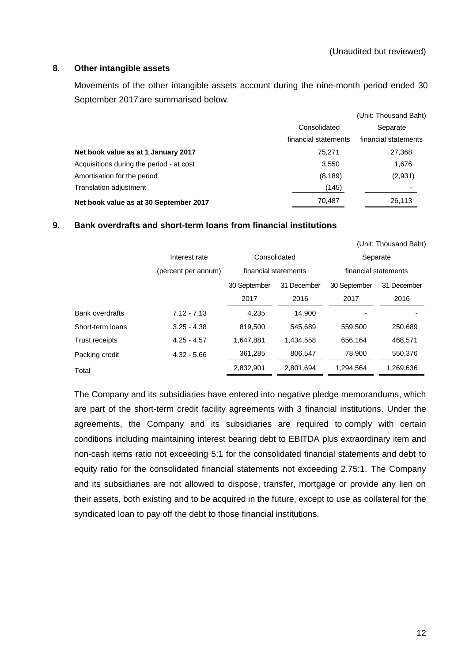# **8. Other intangible assets**

Movements of the other intangible assets account during the nine-month period ended 30 September 2017 are summarised below.

|                                          |                      | (Unit: Thousand Baht) |
|------------------------------------------|----------------------|-----------------------|
|                                          | Consolidated         | Separate              |
|                                          | financial statements | financial statements  |
| Net book value as at 1 January 2017      | 75.271               | 27,368                |
| Acquisitions during the period - at cost | 3.550                | 1,676                 |
| Amortisation for the period              | (8, 189)             | (2,931)               |
| Translation adjustment                   | (145)                |                       |
| Net book value as at 30 September 2017   | 70.487               | 26,113                |

# **9. Bank overdrafts and short-term loans from financial institutions**

|                        |                     |              |                      |                      | (Unit: Thousand Baht) |
|------------------------|---------------------|--------------|----------------------|----------------------|-----------------------|
|                        | Interest rate       | Consolidated |                      | Separate             |                       |
|                        | (percent per annum) |              | financial statements | financial statements |                       |
|                        |                     | 30 September | 31 December          | 30 September         | 31 December           |
|                        |                     | 2017         | 2016                 | 2017                 | 2016                  |
| <b>Bank overdrafts</b> | $7.12 - 7.13$       | 4.235        | 14.900               |                      |                       |
| Short-term loans       | $3.25 - 4.38$       | 819,500      | 545,689              | 559,500              | 250,689               |
| <b>Trust receipts</b>  | $4.25 - 4.57$       | 1,647,881    | 1,434,558            | 656.164              | 468,571               |
| Packing credit         | $4.32 - 5.66$       | 361,285      | 806,547              | 78.900               | 550,376               |
| Total                  |                     | 2,832,901    | 2,801,694            | 1,294,564            | 1,269,636             |

The Company and its subsidiaries have entered into negative pledge memorandums, which are part of the short-term credit facility agreements with 3 financial institutions. Under the agreements, the Company and its subsidiaries are required to comply with certain conditions including maintaining interest bearing debt to EBITDA plus extraordinary item and non-cash items ratio not exceeding 5:1 for the consolidated financial statements and debt to equity ratio for the consolidated financial statements not exceeding 2.75:1. The Company and its subsidiaries are not allowed to dispose, transfer, mortgage or provide any lien on their assets, both existing and to be acquired in the future, except to use as collateral for the syndicated loan to pay off the debt to those financial institutions.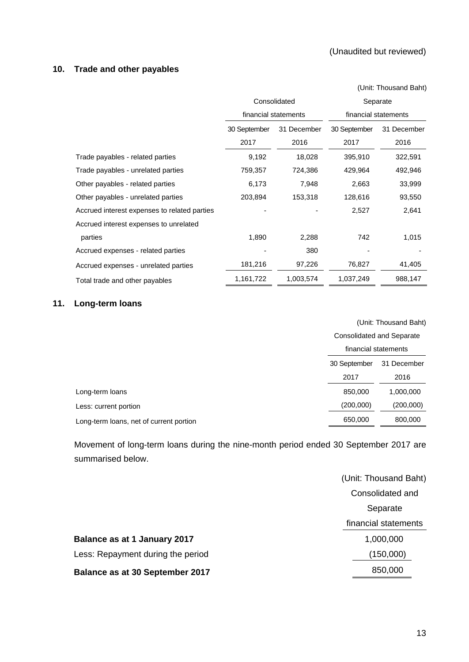# **10. Trade and other payables**

|                                              |              |                      |                      | (Unit: Thousand Baht) |  |  |
|----------------------------------------------|--------------|----------------------|----------------------|-----------------------|--|--|
|                                              |              | Consolidated         | Separate             |                       |  |  |
|                                              |              | financial statements | financial statements |                       |  |  |
|                                              | 30 September | 31 December          | 30 September         | 31 December           |  |  |
|                                              | 2017         | 2016                 | 2017                 | 2016                  |  |  |
| Trade payables - related parties             | 9,192        | 18,028               | 395,910              | 322,591               |  |  |
| Trade payables - unrelated parties           | 759,357      | 724,386              | 429,964              | 492,946               |  |  |
| Other payables - related parties             | 6,173        | 7,948                | 2,663                | 33,999                |  |  |
| Other payables - unrelated parties           | 203,894      | 153,318              | 128,616              | 93,550                |  |  |
| Accrued interest expenses to related parties |              |                      | 2,527                | 2,641                 |  |  |
| Accrued interest expenses to unrelated       |              |                      |                      |                       |  |  |
| parties                                      | 1,890        | 2,288                | 742                  | 1,015                 |  |  |
| Accrued expenses - related parties           |              | 380                  |                      |                       |  |  |
| Accrued expenses - unrelated parties         | 181,216      | 97,226               | 76,827               | 41,405                |  |  |
| Total trade and other payables               | 1,161,722    | 1,003,574            | 1,037,249            | 988,147               |  |  |

# **11. Long-term loans**

|                                         | (Unit: Thousand Baht) |                           |  |  |  |
|-----------------------------------------|-----------------------|---------------------------|--|--|--|
|                                         |                       | Consolidated and Separate |  |  |  |
|                                         |                       | financial statements      |  |  |  |
|                                         | 30 September          | 31 December               |  |  |  |
|                                         | 2017                  | 2016                      |  |  |  |
| Long-term loans                         | 850,000               | 1,000,000                 |  |  |  |
| Less: current portion                   | (200,000)             | (200,000)                 |  |  |  |
| Long-term loans, net of current portion | 650,000               | 800,000                   |  |  |  |
|                                         |                       |                           |  |  |  |

Movement of long-term loans during the nine-month period ended 30 September 2017 are summarised below.

|                                        | (Unit: Thousand Baht) |
|----------------------------------------|-----------------------|
|                                        | Consolidated and      |
|                                        | Separate              |
|                                        | financial statements  |
| Balance as at 1 January 2017           | 1,000,000             |
| Less: Repayment during the period      | (150,000)             |
| <b>Balance as at 30 September 2017</b> | 850,000               |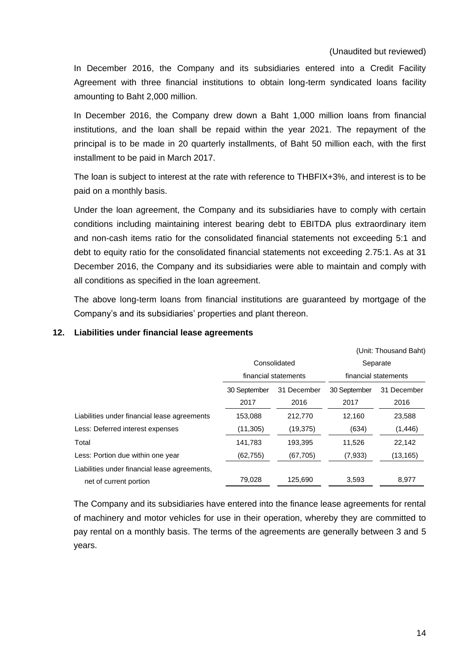In December 2016, the Company and its subsidiaries entered into a Credit Facility Agreement with three financial institutions to obtain long-term syndicated loans facility amounting to Baht 2,000 million.

In December 2016, the Company drew down a Baht 1,000 million loans from financial institutions, and the loan shall be repaid within the year 2021. The repayment of the principal is to be made in 20 quarterly installments, of Baht 50 million each, with the first installment to be paid in March 2017.

The loan is subject to interest at the rate with reference to THBFIX+3%, and interest is to be paid on a monthly basis.

Under the loan agreement, the Company and its subsidiaries have to comply with certain conditions including maintaining interest bearing debt to EBITDA plus extraordinary item and non-cash items ratio for the consolidated financial statements not exceeding 5:1 and debt to equity ratio for the consolidated financial statements not exceeding 2.75:1. As at 31 December 2016, the Company and its subsidiaries were able to maintain and comply with all conditions as specified in the loan agreement.

The above long-term loans from financial institutions are guaranteed by mortgage of the Company's and its subsidiaries' properties and plant thereon.

#### **12. Liabilities under financial lease agreements**

|                                               |              |                      |                      | (Unit: Thousand Baht) |  |  |
|-----------------------------------------------|--------------|----------------------|----------------------|-----------------------|--|--|
|                                               |              | Consolidated         | Separate             |                       |  |  |
|                                               |              | financial statements | financial statements |                       |  |  |
|                                               | 30 September | 31 December          | 30 September         | 31 December           |  |  |
|                                               | 2017         | 2016                 | 2017                 | 2016                  |  |  |
| Liabilities under financial lease agreements  | 153,088      | 212,770              | 12,160               | 23,588                |  |  |
| Less: Deferred interest expenses              | (11, 305)    | (19, 375)            | (634)                | (1, 446)              |  |  |
| Total                                         | 141,783      | 193,395              | 11,526               | 22,142                |  |  |
| Less: Portion due within one year             | (62, 755)    | (67, 705)            | (7,933)              | (13, 165)             |  |  |
| Liabilities under financial lease agreements, |              |                      |                      |                       |  |  |
| net of current portion                        | 79,028       | 125,690              | 3,593                | 8,977                 |  |  |

The Company and its subsidiaries have entered into the finance lease agreements for rental of machinery and motor vehicles for use in their operation, whereby they are committed to pay rental on a monthly basis. The terms of the agreements are generally between 3 and 5 years.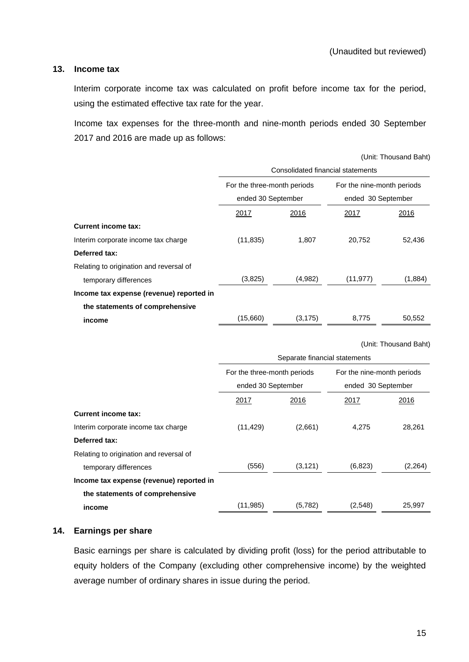### **13. Income tax**

Interim corporate income tax was calculated on profit before income tax for the period, using the estimated effective tax rate for the year.

Income tax expenses for the three-month and nine-month periods ended 30 September 2017 and 2016 are made up as follows:

|                                          |                                   |                               |                            | (Unit: Thousand Baht) |  |  |  |  |
|------------------------------------------|-----------------------------------|-------------------------------|----------------------------|-----------------------|--|--|--|--|
|                                          | Consolidated financial statements |                               |                            |                       |  |  |  |  |
|                                          | For the three-month periods       |                               | For the nine-month periods |                       |  |  |  |  |
|                                          | ended 30 September                |                               | ended 30 September         |                       |  |  |  |  |
|                                          | <u>2017</u>                       | 2016                          | <u>2017</u>                | 2016                  |  |  |  |  |
| <b>Current income tax:</b>               |                                   |                               |                            |                       |  |  |  |  |
| Interim corporate income tax charge      | (11, 835)                         | 1,807                         | 20,752                     | 52,436                |  |  |  |  |
| Deferred tax:                            |                                   |                               |                            |                       |  |  |  |  |
| Relating to origination and reversal of  |                                   |                               |                            |                       |  |  |  |  |
| temporary differences                    | (3,825)                           | (4,982)                       | (11, 977)                  | (1,884)               |  |  |  |  |
| Income tax expense (revenue) reported in |                                   |                               |                            |                       |  |  |  |  |
| the statements of comprehensive          |                                   |                               |                            |                       |  |  |  |  |
| income                                   | (15,660)                          | (3, 175)                      | 8,775                      | 50,552                |  |  |  |  |
|                                          |                                   |                               |                            |                       |  |  |  |  |
|                                          |                                   |                               |                            | (Unit: Thousand Baht) |  |  |  |  |
|                                          |                                   | Separate financial statements |                            |                       |  |  |  |  |
|                                          | For the three-month periods       |                               | For the nine-month periods |                       |  |  |  |  |
|                                          | ended 30 September                |                               | ended 30 September         |                       |  |  |  |  |

|                                          | ended 30 September |          | ended 30 September |         |  |
|------------------------------------------|--------------------|----------|--------------------|---------|--|
|                                          | 2017               | 2016     | 2017               | 2016    |  |
| <b>Current income tax:</b>               |                    |          |                    |         |  |
| Interim corporate income tax charge      | (11, 429)          | (2,661)  | 4,275              | 28,261  |  |
| Deferred tax:                            |                    |          |                    |         |  |
| Relating to origination and reversal of  |                    |          |                    |         |  |
| temporary differences                    | (556)              | (3, 121) | (6,823)            | (2,264) |  |
| Income tax expense (revenue) reported in |                    |          |                    |         |  |
| the statements of comprehensive          |                    |          |                    |         |  |
| income                                   | (11, 985)          | (5,782)  | (2,548)            | 25,997  |  |

# **14. Earnings per share**

Basic earnings per share is calculated by dividing profit (loss) for the period attributable to equity holders of the Company (excluding other comprehensive income) by the weighted average number of ordinary shares in issue during the period.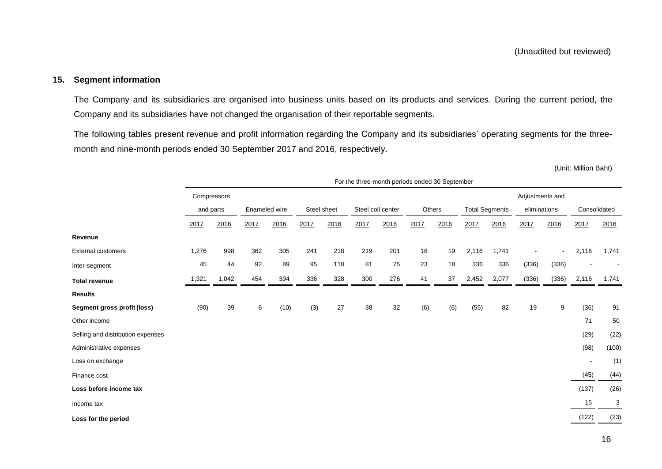# **15. Segment information**

The Company and its subsidiaries are organised into business units based on its products and services. During the current period, the Company and its subsidiaries have not changed the organisation of their reportable segments.

The following tables present revenue and profit information regarding the Company and its subsidiaries' operating segments for the threemonth and nine-month periods ended 30 September 2017 and 2016, respectively.

(Unit: Million Baht)

|                                   | For the three-month periods ended 30 September |             |                              |      |      |                             |        |                       |      |              |       |              |                 |                |       |       |
|-----------------------------------|------------------------------------------------|-------------|------------------------------|------|------|-----------------------------|--------|-----------------------|------|--------------|-------|--------------|-----------------|----------------|-------|-------|
|                                   |                                                | Compressors |                              |      |      |                             |        |                       |      |              |       |              | Adjustments and |                |       |       |
|                                   |                                                | and parts   | Enameled wire<br>Steel sheet |      |      | Steel coil center<br>Others |        | <b>Total Segments</b> |      | eliminations |       | Consolidated |                 |                |       |       |
|                                   | 2017                                           | 2016        | 2017                         | 2016 | 2017 | 2016                        | 2017   | 2016                  | 2017 | 2016         | 2017  | 2016         | 2017            | 2016           | 2017  | 2016  |
| Revenue                           |                                                |             |                              |      |      |                             |        |                       |      |              |       |              |                 |                |       |       |
| <b>External customers</b>         | 1,276                                          | 998         | 362                          | 305  | 241  | 218                         | 219    | 201                   | 18   | 19           | 2,116 | 1,741        |                 | $\blacksquare$ | 2,116 | 1,741 |
| Inter-segment                     | 45                                             | 44          | 92                           | 89   | 95   | 110                         | 81     | 75                    | 23   | 18           | 336   | 336          | (336)           | (336)          |       |       |
| <b>Total revenue</b>              | 1,321                                          | 1,042       | 454                          | 394  | 336  | 328                         | 300    | 276                   | 41   | 37           | 2,452 | 2,077        | (336)           | (336)          | 2,116 | 1,741 |
| <b>Results</b>                    |                                                |             |                              |      |      |                             |        |                       |      |              |       |              |                 |                |       |       |
| Segment gross profit (loss)       | (90)                                           | 39          | 6                            | (10) | (3)  | 27                          | $38\,$ | 32                    | (6)  | (6)          | (55)  | 82           | 19              | 9              | (36)  | 91    |
| Other income                      |                                                |             |                              |      |      |                             |        |                       |      |              |       |              |                 |                | 71    | 50    |
| Selling and distribution expenses |                                                |             |                              |      |      |                             |        |                       |      |              |       |              |                 |                | (29)  | (22)  |
| Administrative expenses           |                                                |             |                              |      |      |                             |        |                       |      |              |       |              |                 |                | (98)  | (100) |
| Loss on exchange                  |                                                |             |                              |      |      |                             |        |                       |      |              |       |              |                 |                |       | (1)   |
| Finance cost                      |                                                |             |                              |      |      |                             |        |                       |      |              |       |              |                 |                | (45)  | (44)  |
| Loss before income tax            |                                                |             |                              |      |      |                             |        |                       |      |              |       |              |                 |                | (137) | (26)  |
| Income tax                        |                                                |             |                              |      |      |                             |        |                       |      |              |       |              |                 |                | 15    | 3     |
| Loss for the period               |                                                |             |                              |      |      |                             |        |                       |      |              |       |              |                 |                | (122) | (23)  |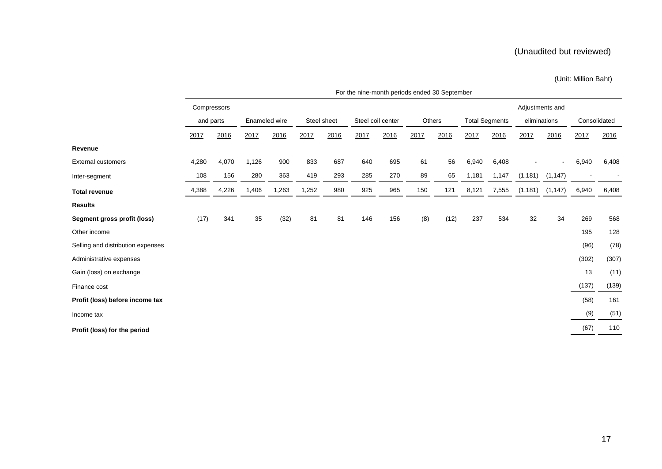### (Unit: Million Baht)

|                                   | For the nine-month periods ended 30 September |       |                              |       |       |                   |      |        |      |                       |       |              |          |              |       |       |
|-----------------------------------|-----------------------------------------------|-------|------------------------------|-------|-------|-------------------|------|--------|------|-----------------------|-------|--------------|----------|--------------|-------|-------|
|                                   | Adjustments and<br>Compressors                |       |                              |       |       |                   |      |        |      |                       |       |              |          |              |       |       |
|                                   | and parts                                     |       | Steel sheet<br>Enameled wire |       |       | Steel coil center |      | Others |      | <b>Total Segments</b> |       | eliminations |          | Consolidated |       |       |
|                                   | 2017                                          | 2016  | 2017                         | 2016  | 2017  | 2016              | 2017 | 2016   | 2017 | 2016                  | 2017  | 2016         | 2017     | 2016         | 2017  | 2016  |
| Revenue                           |                                               |       |                              |       |       |                   |      |        |      |                       |       |              |          |              |       |       |
| <b>External customers</b>         | 4,280                                         | 4,070 | 1,126                        | 900   | 833   | 687               | 640  | 695    | 61   | 56                    | 6,940 | 6,408        |          |              | 6,940 | 6,408 |
| Inter-segment                     | 108                                           | 156   | 280                          | 363   | 419   | 293               | 285  | 270    | 89   | 65                    | 1,181 | 1,147        | (1, 181) | (1, 147)     |       |       |
| <b>Total revenue</b>              | 4,388                                         | 4,226 | 1,406                        | 1,263 | 1,252 | 980               | 925  | 965    | 150  | 121                   | 8,121 | 7,555        | (1, 181) | (1, 147)     | 6,940 | 6,408 |
| <b>Results</b>                    |                                               |       |                              |       |       |                   |      |        |      |                       |       |              |          |              |       |       |
| Segment gross profit (loss)       | (17)                                          | 341   | 35                           | (32)  | 81    | 81                | 146  | 156    | (8)  | (12)                  | 237   | 534          | 32       | 34           | 269   | 568   |
| Other income                      |                                               |       |                              |       |       |                   |      |        |      |                       |       |              |          |              | 195   | 128   |
| Selling and distribution expenses |                                               |       |                              |       |       |                   |      |        |      |                       |       |              |          |              | (96)  | (78)  |
| Administrative expenses           |                                               |       |                              |       |       |                   |      |        |      |                       |       |              |          |              | (302) | (307) |
| Gain (loss) on exchange           |                                               |       |                              |       |       |                   |      |        |      |                       |       |              |          |              | 13    | (11)  |
| Finance cost                      |                                               |       |                              |       |       |                   |      |        |      |                       |       |              |          |              | (137) | (139) |
| Profit (loss) before income tax   |                                               |       |                              |       |       |                   |      |        |      |                       |       |              |          |              | (58)  | 161   |
| Income tax                        |                                               |       |                              |       |       |                   |      |        |      |                       |       |              |          |              | (9)   | (51)  |
| Profit (loss) for the period      |                                               |       |                              |       |       |                   |      |        |      |                       |       |              |          |              | (67)  | 110   |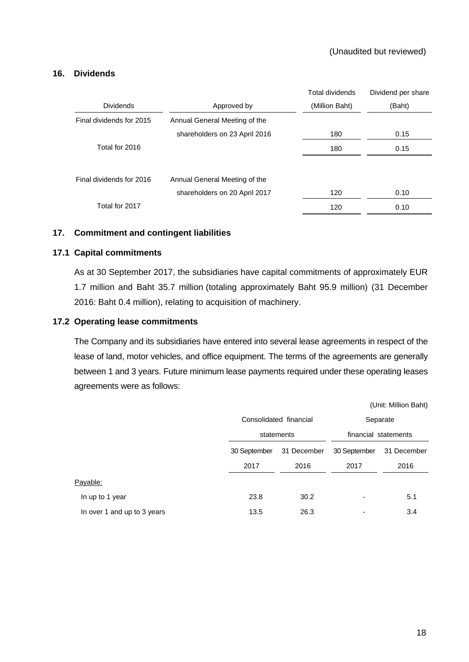# **16. Dividends**

|                          |                               | <b>Total dividends</b> | Dividend per share |
|--------------------------|-------------------------------|------------------------|--------------------|
| <b>Dividends</b>         | Approved by                   | (Million Baht)         | (Baht)             |
| Final dividends for 2015 | Annual General Meeting of the |                        |                    |
|                          | shareholders on 23 April 2016 | 180                    | 0.15               |
| Total for 2016           |                               | 180                    | 0.15               |
|                          |                               |                        |                    |
| Final dividends for 2016 | Annual General Meeting of the |                        |                    |
|                          | shareholders on 20 April 2017 | 120                    | 0.10               |
| Total for 2017           |                               | 120                    | 0.10               |

# **17. Commitment and contingent liabilities**

# **17.1 Capital commitments**

As at 30 September 2017, the subsidiaries have capital commitments of approximately EUR 1.7 million and Baht 35.7 million (totaling approximately Baht 95.9 million) (31 December 2016: Baht 0.4 million), relating to acquisition of machinery.

# **17.2 Operating lease commitments**

The Company and its subsidiaries have entered into several lease agreements in respect of the lease of land, motor vehicles, and office equipment. The terms of the agreements are generally between 1 and 3 years. Future minimum lease payments required under these operating leases agreements were as follows:

|                             |              |                        |                      | (Unit: Million Baht) |  |  |
|-----------------------------|--------------|------------------------|----------------------|----------------------|--|--|
|                             |              | Consolidated financial | Separate             |                      |  |  |
|                             |              | statements             | financial statements |                      |  |  |
|                             | 30 September | 31 December            | 30 September         | 31 December          |  |  |
|                             | 2017         | 2016                   | 2017                 | 2016                 |  |  |
| Payable:                    |              |                        |                      |                      |  |  |
| In up to 1 year             | 23.8         | 30.2                   | ٠                    | 5.1                  |  |  |
| In over 1 and up to 3 years | 13.5         | 26.3                   |                      | 3.4                  |  |  |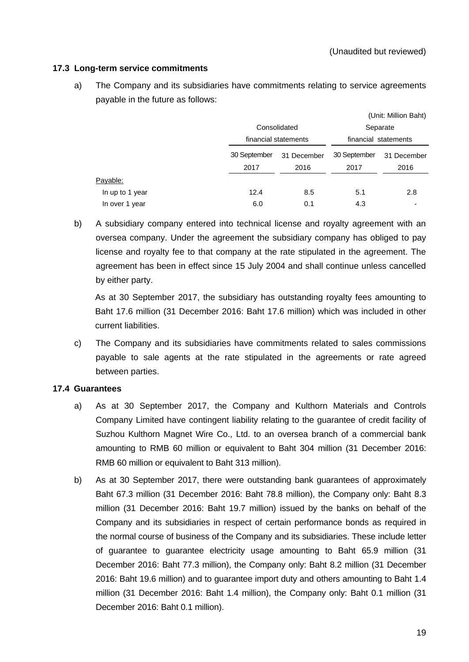# **17.3 Long-term service commitments**

a) The Company and its subsidiaries have commitments relating to service agreements payable in the future as follows:

|                 |              |                      |                      | (Unit: Million Baht) |  |  |
|-----------------|--------------|----------------------|----------------------|----------------------|--|--|
|                 |              | Consolidated         |                      |                      |  |  |
|                 |              | financial statements | financial statements |                      |  |  |
|                 | 30 September | 31 December          | 30 September         | 31 December          |  |  |
|                 | 2017         | 2016                 | 2017                 | 2016                 |  |  |
| Payable:        |              |                      |                      |                      |  |  |
| In up to 1 year | 12.4         | 8.5                  | 5.1                  | 2.8                  |  |  |
| In over 1 year  | 6.0          | 0.1                  | 4.3                  |                      |  |  |

b) A subsidiary company entered into technical license and royalty agreement with an oversea company. Under the agreement the subsidiary company has obliged to pay license and royalty fee to that company at the rate stipulated in the agreement. The agreement has been in effect since 15 July 2004 and shall continue unless cancelled by either party.

As at 30 September 2017, the subsidiary has outstanding royalty fees amounting to Baht 17.6 million (31 December 2016: Baht 17.6 million) which was included in other current liabilities.

c) The Company and its subsidiaries have commitments related to sales commissions payable to sale agents at the rate stipulated in the agreements or rate agreed between parties.

# **17.4 Guarantees**

- a) As at 30 September 2017, the Company and Kulthorn Materials and Controls Company Limited have contingent liability relating to the guarantee of credit facility of Suzhou Kulthorn Magnet Wire Co., Ltd. to an oversea branch of a commercial bank amounting to RMB 60 million or equivalent to Baht 304 million (31 December 2016: RMB 60 million or equivalent to Baht 313 million).
- b) As at 30 September 2017, there were outstanding bank guarantees of approximately Baht 67.3 million (31 December 2016: Baht 78.8 million), the Company only: Baht 8.3 million (31 December 2016: Baht 19.7 million) issued by the banks on behalf of the Company and its subsidiaries in respect of certain performance bonds as required in the normal course of business of the Company and its subsidiaries. These include letter of guarantee to guarantee electricity usage amounting to Baht 65.9 million (31 December 2016: Baht 77.3 million), the Company only: Baht 8.2 million (31 December 2016: Baht 19.6 million) and to guarantee import duty and others amounting to Baht 1.4 million (31 December 2016: Baht 1.4 million), the Company only: Baht 0.1 million (31 December 2016: Baht 0.1 million).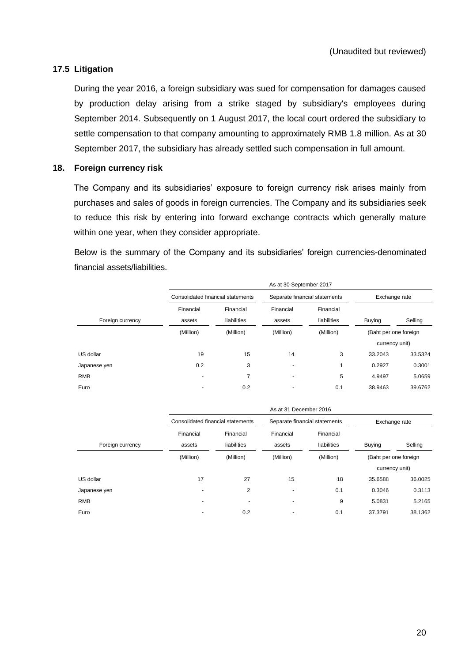# **17.5 Litigation**

During the year 2016, a foreign subsidiary was sued for compensation for damages caused by production delay arising from a strike staged by subsidiary's employees during September 2014. Subsequently on 1 August 2017, the local court ordered the subsidiary to settle compensation to that company amounting to approximately RMB 1.8 million. As at 30 September 2017, the subsidiary has already settled such compensation in full amount.

# **18. Foreign currency risk**

The Company and its subsidiaries' exposure to foreign currency risk arises mainly from purchases and sales of goods in foreign currencies. The Company and its subsidiaries seek to reduce this risk by entering into forward exchange contracts which generally mature within one year, when they consider appropriate.

Below is the summary of the Company and its subsidiaries' foreign currencies-denominated financial assets/liabilities.

|                  |                                   |                          | As at 30 September 2017  |                               |                       |         |  |
|------------------|-----------------------------------|--------------------------|--------------------------|-------------------------------|-----------------------|---------|--|
|                  | Consolidated financial statements |                          |                          | Separate financial statements | Exchange rate         |         |  |
| Foreign currency | Financial<br>assets               | Financial<br>liabilities | Financial<br>assets      | Financial<br>liabilities      | <b>Buying</b>         | Selling |  |
|                  | (Million)                         | (Million)                | (Million)                | (Million)                     | (Baht per one foreign |         |  |
|                  |                                   |                          |                          |                               | currency unit)        |         |  |
| US dollar        | 19                                | 15                       | 14                       | 3                             | 33.2043               | 33.5324 |  |
| Japanese yen     | 0.2                               | 3                        |                          |                               | 0.2927                | 0.3001  |  |
| <b>RMB</b>       | ٠                                 | 7                        | $\overline{\phantom{0}}$ | 5                             | 4.9497                | 5.0659  |  |
| Euro             | $\overline{\phantom{0}}$          | 0.2                      |                          | 0.1                           | 38.9463               | 39.6762 |  |

|                  | As at 31 December 2016            |                          |                               |                          |                       |         |  |  |
|------------------|-----------------------------------|--------------------------|-------------------------------|--------------------------|-----------------------|---------|--|--|
|                  | Consolidated financial statements |                          | Separate financial statements |                          | Exchange rate         |         |  |  |
| Foreign currency | Financial<br>assets               | Financial<br>liabilities | Financial<br>assets           | Financial<br>liabilities | <b>Buying</b>         | Selling |  |  |
|                  | (Million)                         | (Million)                | (Million)                     | (Million)                | (Baht per one foreign |         |  |  |
|                  |                                   |                          |                               |                          | currency unit)        |         |  |  |
| US dollar        | 17                                | 27                       | 15                            | 18                       | 35.6588               | 36.0025 |  |  |
| Japanese yen     | $\overline{\phantom{a}}$          | 2                        | $\overline{\phantom{0}}$      | 0.1                      | 0.3046                | 0.3113  |  |  |
| <b>RMB</b>       | ٠                                 | ٠                        | ٠                             | 9                        | 5.0831                | 5.2165  |  |  |
| Euro             |                                   | 0.2                      | ۰                             | 0.1                      | 37.3791               | 38.1362 |  |  |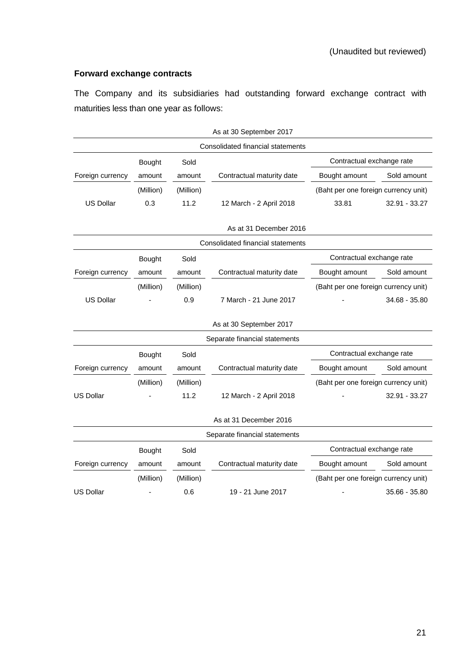# **Forward exchange contracts**

The Company and its subsidiaries had outstanding forward exchange contract with maturities less than one year as follows:

|                  |               |           | As at 30 September 2017           |                                      |                           |  |
|------------------|---------------|-----------|-----------------------------------|--------------------------------------|---------------------------|--|
|                  |               |           | Consolidated financial statements |                                      |                           |  |
|                  | <b>Bought</b> | Sold      |                                   |                                      | Contractual exchange rate |  |
| Foreign currency | amount        | amount    | Contractual maturity date         | Bought amount                        | Sold amount               |  |
|                  | (Million)     | (Million) |                                   | (Baht per one foreign currency unit) |                           |  |
| <b>US Dollar</b> | 0.3           | 11.2      | 12 March - 2 April 2018           | 33.81                                | 32.91 - 33.27             |  |
|                  |               |           | As at 31 December 2016            |                                      |                           |  |
|                  |               |           | Consolidated financial statements |                                      |                           |  |
|                  | <b>Bought</b> | Sold      |                                   | Contractual exchange rate            |                           |  |
| Foreign currency | amount        | amount    | Contractual maturity date         | Bought amount                        | Sold amount               |  |
|                  | (Million)     | (Million) |                                   | (Baht per one foreign currency unit) |                           |  |
| <b>US Dollar</b> |               | 0.9       | 7 March - 21 June 2017            |                                      | 34.68 - 35.80             |  |
|                  |               |           | As at 30 September 2017           |                                      |                           |  |
|                  |               |           | Separate financial statements     |                                      |                           |  |
|                  | <b>Bought</b> | Sold      |                                   | Contractual exchange rate            |                           |  |
| Foreign currency | amount        | amount    | Contractual maturity date         | Bought amount                        | Sold amount               |  |
|                  | (Million)     | (Million) |                                   | (Baht per one foreign currency unit) |                           |  |
| <b>US Dollar</b> |               | 11.2      | 12 March - 2 April 2018           |                                      | 32.91 - 33.27             |  |
|                  |               |           | As at 31 December 2016            |                                      |                           |  |
|                  |               |           | Separate financial statements     |                                      |                           |  |
|                  | <b>Bought</b> | Sold      |                                   | Contractual exchange rate            |                           |  |
| Foreign currency | amount        | amount    | Contractual maturity date         | Bought amount                        | Sold amount               |  |
|                  | (Million)     | (Million) |                                   | (Baht per one foreign currency unit) |                           |  |
| US Dollar        |               | 0.6       | 19 - 21 June 2017                 |                                      | 35.66 - 35.80             |  |